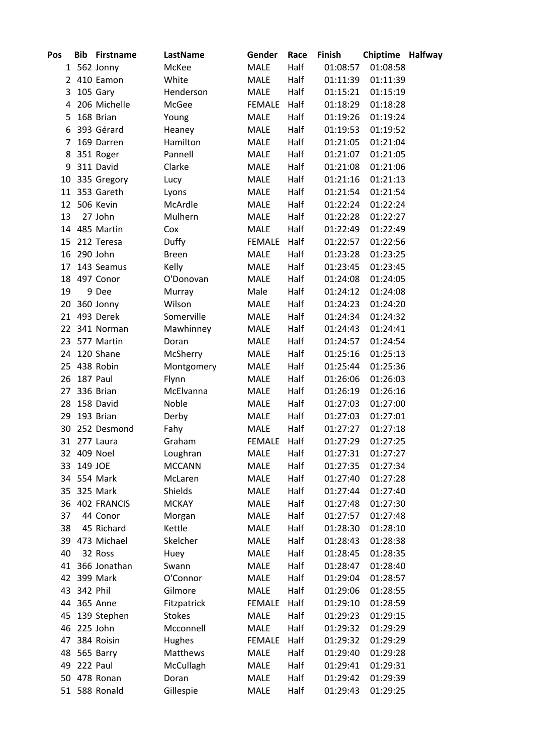| Pos            |             | <b>Bib Firstname</b> | LastName      | Gender      | Race | Finish   | <b>Chiptime Halfway</b> |  |
|----------------|-------------|----------------------|---------------|-------------|------|----------|-------------------------|--|
|                |             | 1 562 Jonny          | McKee         | <b>MALE</b> | Half | 01:08:57 | 01:08:58                |  |
|                |             | 2 410 Eamon          | White         | <b>MALE</b> | Half | 01:11:39 | 01:11:39                |  |
| 3              |             | 105 Gary             | Henderson     | <b>MALE</b> | Half | 01:15:21 | 01:15:19                |  |
| 4              |             | 206 Michelle         | McGee         | FEMALE      | Half | 01:18:29 | 01:18:28                |  |
| 5              |             | 168 Brian            | Young         | <b>MALE</b> | Half | 01:19:26 | 01:19:24                |  |
| 6              |             | 393 Gérard           | Heaney        | <b>MALE</b> | Half | 01:19:53 | 01:19:52                |  |
| $\overline{7}$ |             | 169 Darren           | Hamilton      | <b>MALE</b> | Half | 01:21:05 | 01:21:04                |  |
| 8              |             | 351 Roger            | Pannell       | <b>MALE</b> | Half | 01:21:07 | 01:21:05                |  |
| 9              |             | 311 David            | Clarke        | <b>MALE</b> | Half | 01:21:08 | 01:21:06                |  |
|                |             | 10 335 Gregory       | Lucy          | <b>MALE</b> | Half | 01:21:16 | 01:21:13                |  |
|                |             | 11 353 Gareth        | Lyons         | <b>MALE</b> | Half | 01:21:54 | 01:21:54                |  |
|                |             | 12 506 Kevin         | McArdle       | <b>MALE</b> | Half | 01:22:24 | 01:22:24                |  |
| 13             |             | 27 John              | Mulhern       | <b>MALE</b> | Half | 01:22:28 | 01:22:27                |  |
|                |             | 14 485 Martin        | Cox           | <b>MALE</b> | Half | 01:22:49 | 01:22:49                |  |
|                |             | 15 212 Teresa        | Duffy         | FEMALE      | Half | 01:22:57 | 01:22:56                |  |
|                | 16 290 John |                      | <b>Breen</b>  | <b>MALE</b> | Half | 01:23:28 | 01:23:25                |  |
| 17             |             | 143 Seamus           | Kelly         | <b>MALE</b> | Half | 01:23:45 | 01:23:45                |  |
|                |             | 18 497 Conor         | O'Donovan     | <b>MALE</b> | Half | 01:24:08 | 01:24:05                |  |
| 19             |             | 9 Dee                | Murray        | Male        | Half | 01:24:12 | 01:24:08                |  |
|                |             | 20 360 Jonny         | Wilson        | <b>MALE</b> | Half | 01:24:23 | 01:24:20                |  |
|                |             | 21 493 Derek         | Somerville    | <b>MALE</b> | Half | 01:24:34 | 01:24:32                |  |
|                |             | 22 341 Norman        | Mawhinney     | MALE        | Half | 01:24:43 | 01:24:41                |  |
|                |             | 23 577 Martin        | Doran         | <b>MALE</b> | Half | 01:24:57 | 01:24:54                |  |
|                |             | 24 120 Shane         | McSherry      | <b>MALE</b> | Half | 01:25:16 | 01:25:13                |  |
|                |             | 25 438 Robin         | Montgomery    | <b>MALE</b> | Half | 01:25:44 | 01:25:36                |  |
|                | 26 187 Paul |                      | Flynn         | <b>MALE</b> | Half | 01:26:06 | 01:26:03                |  |
| 27             |             | 336 Brian            | McElvanna     | <b>MALE</b> | Half | 01:26:19 | 01:26:16                |  |
|                |             | 28 158 David         | Noble         | <b>MALE</b> | Half | 01:27:03 | 01:27:00                |  |
| 29             |             | 193 Brian            | Derby         | MALE        | Half | 01:27:03 | 01:27:01                |  |
|                |             | 30 252 Desmond       | Fahy          | <b>MALE</b> | Half | 01:27:27 | 01:27:18                |  |
|                |             | 31 277 Laura         | Graham        | FEMALE      | Half | 01:27:29 | 01:27:25                |  |
|                |             | 32 409 Noel          | Loughran      | MALE        | Half | 01:27:31 | 01:27:27                |  |
|                | 33 149 JOE  |                      | <b>MCCANN</b> | <b>MALE</b> | Half | 01:27:35 | 01:27:34                |  |
|                |             | 34 554 Mark          | McLaren       | <b>MALE</b> | Half | 01:27:40 | 01:27:28                |  |
|                |             | 35 325 Mark          | Shields       | <b>MALE</b> | Half | 01:27:44 | 01:27:40                |  |
|                |             | 36 402 FRANCIS       | <b>MCKAY</b>  | <b>MALE</b> | Half | 01:27:48 | 01:27:30                |  |
| 37             |             | 44 Conor             | Morgan        | <b>MALE</b> | Half | 01:27:57 | 01:27:48                |  |
| 38             |             | 45 Richard           | Kettle        | <b>MALE</b> | Half | 01:28:30 | 01:28:10                |  |
|                |             | 39 473 Michael       | Skelcher      | <b>MALE</b> | Half | 01:28:43 | 01:28:38                |  |
| 40             |             | 32 Ross              | Huey          | <b>MALE</b> | Half | 01:28:45 | 01:28:35                |  |
|                |             | 41 366 Jonathan      | Swann         | <b>MALE</b> | Half | 01:28:47 | 01:28:40                |  |
|                |             | 42 399 Mark          | O'Connor      | <b>MALE</b> | Half | 01:29:04 | 01:28:57                |  |
|                | 43 342 Phil |                      | Gilmore       | MALE        | Half | 01:29:06 | 01:28:55                |  |
|                |             | 44 365 Anne          | Fitzpatrick   | FEMALE      | Half | 01:29:10 | 01:28:59                |  |
| 45             |             | 139 Stephen          | <b>Stokes</b> | <b>MALE</b> | Half | 01:29:23 | 01:29:15                |  |
|                |             | 46 225 John          | Mcconnell     | <b>MALE</b> | Half | 01:29:32 | 01:29:29                |  |
| 47             |             | 384 Roisin           | <b>Hughes</b> | FEMALE      | Half | 01:29:32 | 01:29:29                |  |
|                |             | 48 565 Barry         | Matthews      | MALE        | Half | 01:29:40 | 01:29:28                |  |
|                | 49 222 Paul |                      | McCullagh     | MALE        | Half | 01:29:41 | 01:29:31                |  |
|                |             | 50 478 Ronan         | Doran         | MALE        | Half | 01:29:42 | 01:29:39                |  |
|                |             | 51 588 Ronald        | Gillespie     | MALE        | Half | 01:29:43 | 01:29:25                |  |
|                |             |                      |               |             |      |          |                         |  |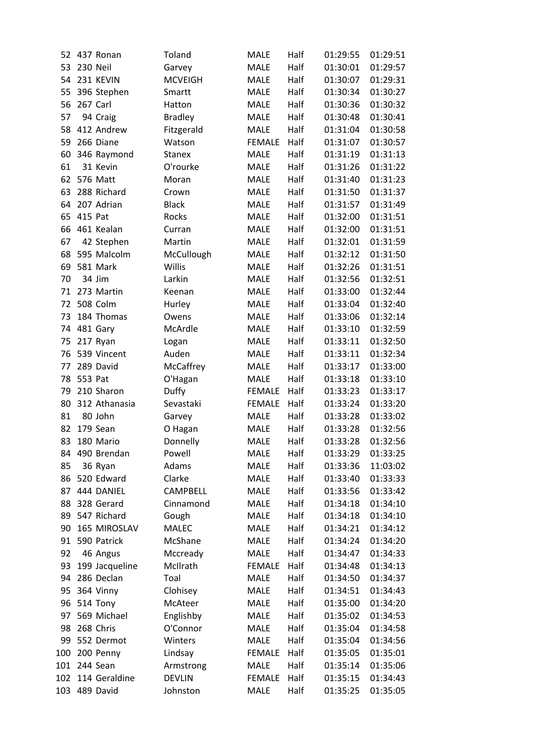|     |                |                 | <b>MALE</b>   | Half |          |          |
|-----|----------------|-----------------|---------------|------|----------|----------|
| 52  | 437 Ronan      | Toland          |               |      | 01:29:55 | 01:29:51 |
| 53  | 230 Neil       | Garvey          | <b>MALE</b>   | Half | 01:30:01 | 01:29:57 |
| 54  | 231 KEVIN      | <b>MCVEIGH</b>  | <b>MALE</b>   | Half | 01:30:07 | 01:29:31 |
| 55  | 396 Stephen    | Smartt          | <b>MALE</b>   | Half | 01:30:34 | 01:30:27 |
| 56  | 267 Carl       | Hatton          | <b>MALE</b>   | Half | 01:30:36 | 01:30:32 |
| 57  | 94 Craig       | <b>Bradley</b>  | <b>MALE</b>   | Half | 01:30:48 | 01:30:41 |
| 58  | 412 Andrew     | Fitzgerald      | <b>MALE</b>   | Half | 01:31:04 | 01:30:58 |
| 59  | 266 Diane      | Watson          | <b>FEMALE</b> | Half | 01:31:07 | 01:30:57 |
| 60  | 346 Raymond    | <b>Stanex</b>   | <b>MALE</b>   | Half | 01:31:19 | 01:31:13 |
| 61  | 31 Kevin       | O'rourke        | <b>MALE</b>   | Half | 01:31:26 | 01:31:22 |
| 62  | 576 Matt       | Moran           | <b>MALE</b>   | Half | 01:31:40 | 01:31:23 |
| 63  | 288 Richard    | Crown           | MALE          | Half | 01:31:50 | 01:31:37 |
| 64  | 207 Adrian     | <b>Black</b>    | <b>MALE</b>   | Half | 01:31:57 | 01:31:49 |
| 65  | 415 Pat        | Rocks           | <b>MALE</b>   | Half | 01:32:00 | 01:31:51 |
| 66  | 461 Kealan     | Curran          | MALE          | Half | 01:32:00 | 01:31:51 |
| 67  | 42 Stephen     | Martin          | MALE          | Half | 01:32:01 | 01:31:59 |
| 68  | 595 Malcolm    | McCullough      | <b>MALE</b>   | Half | 01:32:12 | 01:31:50 |
| 69  | 581 Mark       | Willis          | <b>MALE</b>   | Half | 01:32:26 | 01:31:51 |
| 70  | 34 Jim         | Larkin          | <b>MALE</b>   | Half | 01:32:56 | 01:32:51 |
| 71  | 273 Martin     | Keenan          | <b>MALE</b>   | Half | 01:33:00 | 01:32:44 |
| 72  | 508 Colm       | Hurley          | MALE          | Half | 01:33:04 | 01:32:40 |
| 73  | 184 Thomas     | Owens           | <b>MALE</b>   | Half | 01:33:06 | 01:32:14 |
| 74  | 481 Gary       | McArdle         | MALE          | Half | 01:33:10 | 01:32:59 |
| 75  | 217 Ryan       | Logan           | <b>MALE</b>   | Half | 01:33:11 | 01:32:50 |
| 76  | 539 Vincent    | Auden           | <b>MALE</b>   | Half | 01:33:11 | 01:32:34 |
| 77  | 289 David      | McCaffrey       | MALE          | Half | 01:33:17 | 01:33:00 |
| 78  | 553 Pat        | O'Hagan         | <b>MALE</b>   | Half | 01:33:18 | 01:33:10 |
| 79  | 210 Sharon     | Duffy           | <b>FEMALE</b> | Half | 01:33:23 | 01:33:17 |
| 80  | 312 Athanasia  | Sevastaki       | <b>FEMALE</b> | Half | 01:33:24 | 01:33:20 |
| 81  | 80 John        | Garvey          | <b>MALE</b>   | Half | 01:33:28 | 01:33:02 |
| 82  | 179 Sean       | O Hagan         | <b>MALE</b>   | Half | 01:33:28 | 01:32:56 |
| 83  | 180 Mario      | Donnelly        | <b>MALE</b>   | Half | 01:33:28 | 01:32:56 |
| 84  | 490 Brendan    | Powell          | MALE          | Half | 01:33:29 | 01:33:25 |
| 85  | 36 Ryan        | Adams           | <b>MALE</b>   | Half | 01:33:36 | 11:03:02 |
| 86  | 520 Edward     | Clarke          | <b>MALE</b>   | Half | 01:33:40 | 01:33:33 |
| 87  | 444 DANIEL     | <b>CAMPBELL</b> | <b>MALE</b>   | Half | 01:33:56 | 01:33:42 |
| 88  | 328 Gerard     | Cinnamond       | <b>MALE</b>   | Half | 01:34:18 | 01:34:10 |
| 89  | 547 Richard    | Gough           | <b>MALE</b>   | Half | 01:34:18 | 01:34:10 |
| 90  | 165 MIROSLAV   | <b>MALEC</b>    | <b>MALE</b>   | Half | 01:34:21 | 01:34:12 |
| 91  | 590 Patrick    | McShane         | <b>MALE</b>   | Half | 01:34:24 | 01:34:20 |
| 92  | 46 Angus       | Mccready        | <b>MALE</b>   | Half | 01:34:47 | 01:34:33 |
| 93  | 199 Jacqueline | McIlrath        | <b>FEMALE</b> | Half | 01:34:48 | 01:34:13 |
| 94  | 286 Declan     | Toal            | <b>MALE</b>   | Half | 01:34:50 | 01:34:37 |
| 95  | 364 Vinny      | Clohisey        | <b>MALE</b>   | Half | 01:34:51 | 01:34:43 |
|     |                |                 |               |      |          |          |
| 96  | 514 Tony       | McAteer         | <b>MALE</b>   | Half | 01:35:00 | 01:34:20 |
| 97  | 569 Michael    | Englishby       | MALE          | Half | 01:35:02 | 01:34:53 |
| 98  | 268 Chris      | O'Connor        | <b>MALE</b>   | Half | 01:35:04 | 01:34:58 |
| 99  | 552 Dermot     | Winters         | <b>MALE</b>   | Half | 01:35:04 | 01:34:56 |
| 100 | 200 Penny      | Lindsay         | <b>FEMALE</b> | Half | 01:35:05 | 01:35:01 |
| 101 | 244 Sean       | Armstrong       | <b>MALE</b>   | Half | 01:35:14 | 01:35:06 |
| 102 | 114 Geraldine  | <b>DEVLIN</b>   | <b>FEMALE</b> | Half | 01:35:15 | 01:34:43 |
| 103 | 489 David      | Johnston        | MALE          | Half | 01:35:25 | 01:35:05 |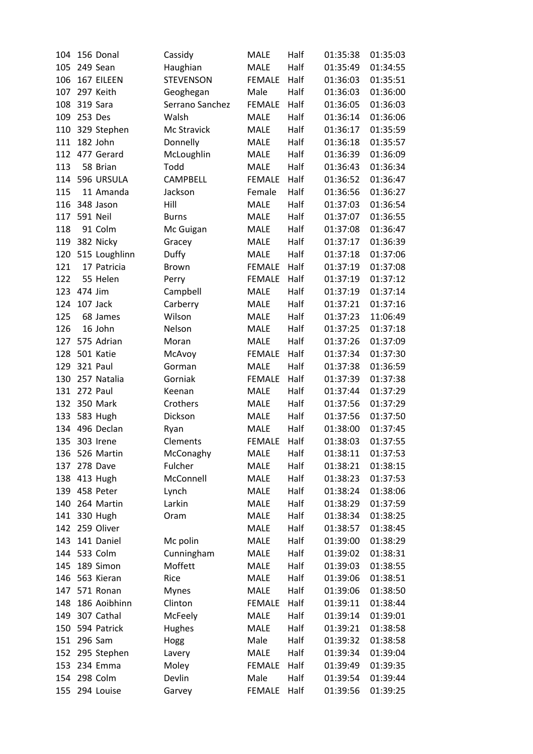| 104        | 156 Donal       | Cassidy          | <b>MALE</b>   | Half         | 01:35:38 | 01:35:03 |
|------------|-----------------|------------------|---------------|--------------|----------|----------|
| 105        | 249 Sean        | Haughian         | <b>MALE</b>   | Half         | 01:35:49 | 01:34:55 |
| 106        | 167 EILEEN      | <b>STEVENSON</b> | <b>FEMALE</b> | Half         | 01:36:03 | 01:35:51 |
| 107        | 297 Keith       | Geoghegan        | Male          | Half         | 01:36:03 | 01:36:00 |
| 108        | 319 Sara        | Serrano Sanchez  | <b>FEMALE</b> | Half         | 01:36:05 | 01:36:03 |
| 109        | 253 Des         | Walsh            | <b>MALE</b>   | Half         | 01:36:14 | 01:36:06 |
| 110        | 329 Stephen     | Mc Stravick      | <b>MALE</b>   | Half         | 01:36:17 | 01:35:59 |
| 111        | 182 John        | Donnelly         | MALE          | Half         | 01:36:18 | 01:35:57 |
| 112        | 477 Gerard      | McLoughlin       | <b>MALE</b>   | Half         | 01:36:39 | 01:36:09 |
| 113        | 58 Brian        | Todd             | <b>MALE</b>   | Half         | 01:36:43 | 01:36:34 |
| 114        | 596 URSULA      | <b>CAMPBELL</b>  | <b>FEMALE</b> | Half         | 01:36:52 | 01:36:47 |
| 115        | 11 Amanda       | Jackson          | Female        | Half         | 01:36:56 | 01:36:27 |
| 116        | 348 Jason       | Hill             | <b>MALE</b>   | Half         | 01:37:03 | 01:36:54 |
| 117        | <b>591 Neil</b> | <b>Burns</b>     | <b>MALE</b>   | Half         | 01:37:07 | 01:36:55 |
| 118        | 91 Colm         | Mc Guigan        | <b>MALE</b>   | Half         | 01:37:08 | 01:36:47 |
| 119        | 382 Nicky       | Gracey           | MALE          | Half         | 01:37:17 | 01:36:39 |
| 120        | 515 Loughlinn   | Duffy            | <b>MALE</b>   | Half         | 01:37:18 | 01:37:06 |
| 121        | 17 Patricia     | <b>Brown</b>     | <b>FEMALE</b> | Half         | 01:37:19 | 01:37:08 |
| 122        | 55 Helen        | Perry            | <b>FEMALE</b> | Half         | 01:37:19 | 01:37:12 |
| 123        | 474 Jim         | Campbell         | <b>MALE</b>   | Half         | 01:37:19 | 01:37:14 |
| 124        | 107 Jack        | Carberry         | <b>MALE</b>   | Half         | 01:37:21 | 01:37:16 |
| 125        | 68 James        | Wilson           | <b>MALE</b>   | Half         | 01:37:23 | 11:06:49 |
| 126        | 16 John         | Nelson           | MALE          | Half         | 01:37:25 | 01:37:18 |
| 127        | 575 Adrian      | Moran            | <b>MALE</b>   | Half         | 01:37:26 | 01:37:09 |
| 128        | 501 Katie       | McAvoy           | <b>FEMALE</b> | Half         | 01:37:34 | 01:37:30 |
| 129        | 321 Paul        | Gorman           | <b>MALE</b>   | Half         | 01:37:38 | 01:36:59 |
| 130        | 257 Natalia     | Gorniak          | <b>FEMALE</b> | Half         | 01:37:39 | 01:37:38 |
| 131        | 272 Paul        | Keenan           | <b>MALE</b>   | Half         | 01:37:44 | 01:37:29 |
| 132        | 350 Mark        | Crothers         | MALE          | Half         | 01:37:56 | 01:37:29 |
|            | 583 Hugh        |                  |               | Half         | 01:37:56 |          |
| 133        | 496 Declan      | Dickson          | MALE<br>MALE  |              | 01:38:00 | 01:37:50 |
| 134        | 303 Irene       | Ryan             |               | Half         |          | 01:37:45 |
| 135<br>136 |                 | Clements         | <b>FEMALE</b> | Half<br>Half | 01:38:03 | 01:37:55 |
|            | 526 Martin      | McConaghy        | <b>MALE</b>   |              | 01:38:11 | 01:37:53 |
| 137        | 278 Dave        | Fulcher          | MALE          | Half         | 01:38:21 | 01:38:15 |
| 138        | 413 Hugh        | McConnell        | MALE          | Half         | 01:38:23 | 01:37:53 |
| 139        | 458 Peter       | Lynch            | MALE          | Half         | 01:38:24 | 01:38:06 |
| 140        | 264 Martin      | Larkin           | <b>MALE</b>   | Half         | 01:38:29 | 01:37:59 |
| 141        | 330 Hugh        | Oram             | <b>MALE</b>   | Half         | 01:38:34 | 01:38:25 |
| 142        | 259 Oliver      |                  | MALE          | Half         | 01:38:57 | 01:38:45 |
| 143        | 141 Daniel      | Mc polin         | MALE          | Half         | 01:39:00 | 01:38:29 |
| 144        | 533 Colm        | Cunningham       | MALE          | Half         | 01:39:02 | 01:38:31 |
| 145        | 189 Simon       | Moffett          | MALE          | Half         | 01:39:03 | 01:38:55 |
| 146        | 563 Kieran      | Rice             | <b>MALE</b>   | Half         | 01:39:06 | 01:38:51 |
| 147        | 571 Ronan       | <b>Mynes</b>     | MALE          | Half         | 01:39:06 | 01:38:50 |
| 148        | 186 Aoibhinn    | Clinton          | <b>FEMALE</b> | Half         | 01:39:11 | 01:38:44 |
| 149        | 307 Cathal      | McFeely          | MALE          | Half         | 01:39:14 | 01:39:01 |
| 150        | 594 Patrick     | Hughes           | <b>MALE</b>   | Half         | 01:39:21 | 01:38:58 |
| 151        | 296 Sam         | Hogg             | Male          | Half         | 01:39:32 | 01:38:58 |
| 152        | 295 Stephen     | Lavery           | <b>MALE</b>   | Half         | 01:39:34 | 01:39:04 |
| 153        | 234 Emma        | Moley            | <b>FEMALE</b> | Half         | 01:39:49 | 01:39:35 |
| 154        | 298 Colm        | Devlin           | Male          | Half         | 01:39:54 | 01:39:44 |
| 155        | 294 Louise      | Garvey           | <b>FEMALE</b> | Half         | 01:39:56 | 01:39:25 |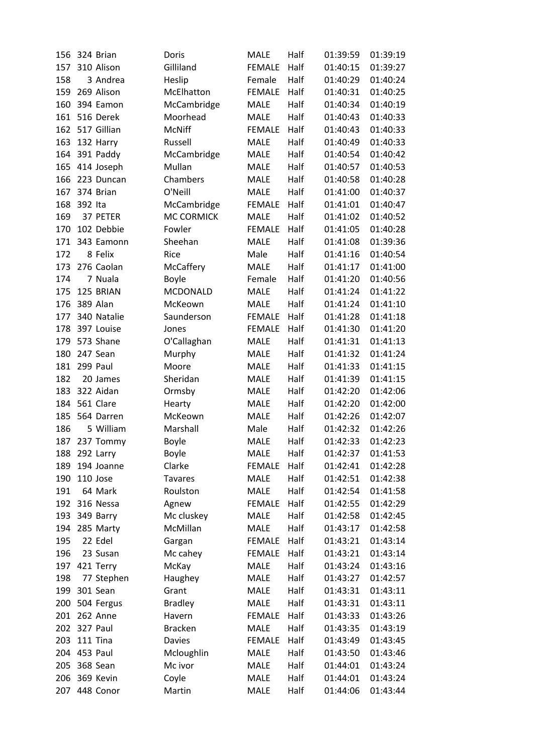| 156 | 324 Brian               | Doris             | <b>MALE</b>   | Half | 01:39:59 | 01:39:19 |
|-----|-------------------------|-------------------|---------------|------|----------|----------|
| 157 | 310 Alison              | Gilliland         | <b>FEMALE</b> | Half | 01:40:15 | 01:39:27 |
| 158 | 3 Andrea                | Heslip            | Female        | Half | 01:40:29 | 01:40:24 |
| 159 | 269 Alison              | McElhatton        | <b>FEMALE</b> | Half | 01:40:31 | 01:40:25 |
| 160 | 394 Eamon               | McCambridge       | <b>MALE</b>   | Half | 01:40:34 | 01:40:19 |
| 161 | 516 Derek               | Moorhead          | <b>MALE</b>   | Half | 01:40:43 | 01:40:33 |
| 162 | 517 Gillian             | McNiff            | <b>FEMALE</b> | Half | 01:40:43 | 01:40:33 |
| 163 | 132 Harry               | Russell           | <b>MALE</b>   | Half | 01:40:49 | 01:40:33 |
| 164 | 391 Paddy               | McCambridge       | <b>MALE</b>   | Half | 01:40:54 | 01:40:42 |
| 165 | 414 Joseph              | Mullan            | <b>MALE</b>   | Half | 01:40:57 | 01:40:53 |
| 166 | 223 Duncan              | Chambers          | MALE          | Half | 01:40:58 | 01:40:28 |
| 167 | 374 Brian               | O'Neill           | MALE          | Half | 01:41:00 | 01:40:37 |
| 168 | 392 Ita                 | McCambridge       | <b>FEMALE</b> | Half | 01:41:01 | 01:40:47 |
| 169 | 37 PETER                | <b>MC CORMICK</b> | <b>MALE</b>   | Half | 01:41:02 | 01:40:52 |
| 170 | 102 Debbie              | Fowler            | <b>FEMALE</b> | Half | 01:41:05 | 01:40:28 |
| 171 | 343 Eamonn              | Sheehan           | <b>MALE</b>   | Half | 01:41:08 | 01:39:36 |
| 172 | 8 Felix                 | Rice              | Male          | Half | 01:41:16 | 01:40:54 |
| 173 | 276 Caolan              | McCaffery         | MALE          | Half | 01:41:17 | 01:41:00 |
| 174 | 7 Nuala                 | <b>Boyle</b>      | Female        | Half | 01:41:20 | 01:40:56 |
| 175 | 125 BRIAN               | <b>MCDONALD</b>   | <b>MALE</b>   | Half | 01:41:24 | 01:41:22 |
| 176 | 389 Alan                | McKeown           | <b>MALE</b>   | Half | 01:41:24 | 01:41:10 |
| 177 | 340 Natalie             | Saunderson        | <b>FEMALE</b> | Half | 01:41:28 | 01:41:18 |
| 178 | 397 Louise              | Jones             | <b>FEMALE</b> | Half | 01:41:30 | 01:41:20 |
| 179 | 573 Shane               | O'Callaghan       | MALE          | Half | 01:41:31 | 01:41:13 |
| 180 | 247 Sean                | Murphy            | <b>MALE</b>   | Half | 01:41:32 | 01:41:24 |
| 181 | 299 Paul                | Moore             | <b>MALE</b>   | Half | 01:41:33 | 01:41:15 |
| 182 | 20 James                | Sheridan          | MALE          | Half | 01:41:39 | 01:41:15 |
| 183 | 322 Aidan               |                   | MALE          | Half | 01:42:20 | 01:42:06 |
|     |                         | Ormsby            |               |      |          |          |
| 184 | 561 Clare               | Hearty            | <b>MALE</b>   | Half | 01:42:20 | 01:42:00 |
| 185 | 564 Darren<br>5 William | McKeown           | <b>MALE</b>   | Half | 01:42:26 | 01:42:07 |
| 186 |                         | Marshall          | Male          | Half | 01:42:32 | 01:42:26 |
| 187 | 237 Tommy               | <b>Boyle</b>      | <b>MALE</b>   | Half | 01:42:33 | 01:42:23 |
| 188 | 292 Larry               | <b>Boyle</b>      | MALE          | Half | 01:42:37 | 01:41:53 |
| 189 | 194 Joanne              | Clarke            | <b>FEMALE</b> | Half | 01:42:41 | 01:42:28 |
| 190 | 110 Jose                | <b>Tavares</b>    | <b>MALE</b>   | Half | 01:42:51 | 01:42:38 |
| 191 | 64 Mark                 | Roulston          | <b>MALE</b>   | Half | 01:42:54 | 01:41:58 |
| 192 | 316 Nessa               | Agnew             | <b>FEMALE</b> | Half | 01:42:55 | 01:42:29 |
| 193 | 349 Barry               | Mc cluskey        | MALE          | Half | 01:42:58 | 01:42:45 |
| 194 | 285 Marty               | McMillan          | <b>MALE</b>   | Half | 01:43:17 | 01:42:58 |
| 195 | 22 Edel                 | Gargan            | <b>FEMALE</b> | Half | 01:43:21 | 01:43:14 |
| 196 | 23 Susan                | Mc cahey          | <b>FEMALE</b> | Half | 01:43:21 | 01:43:14 |
| 197 | 421 Terry               | McKay             | MALE          | Half | 01:43:24 | 01:43:16 |
| 198 | 77 Stephen              | Haughey           | MALE          | Half | 01:43:27 | 01:42:57 |
| 199 | 301 Sean                | Grant             | MALE          | Half | 01:43:31 | 01:43:11 |
| 200 | 504 Fergus              | <b>Bradley</b>    | MALE          | Half | 01:43:31 | 01:43:11 |
| 201 | 262 Anne                | Havern            | <b>FEMALE</b> | Half | 01:43:33 | 01:43:26 |
| 202 | 327 Paul                | <b>Bracken</b>    | <b>MALE</b>   | Half | 01:43:35 | 01:43:19 |
| 203 | 111 Tina                | <b>Davies</b>     | <b>FEMALE</b> | Half | 01:43:49 | 01:43:45 |
| 204 | 453 Paul                | Mcloughlin        | MALE          | Half | 01:43:50 | 01:43:46 |
| 205 | 368 Sean                | Mc ivor           | MALE          | Half | 01:44:01 | 01:43:24 |
| 206 | 369 Kevin               | Coyle             | <b>MALE</b>   | Half | 01:44:01 | 01:43:24 |
| 207 | 448 Conor               | Martin            | MALE          | Half | 01:44:06 | 01:43:44 |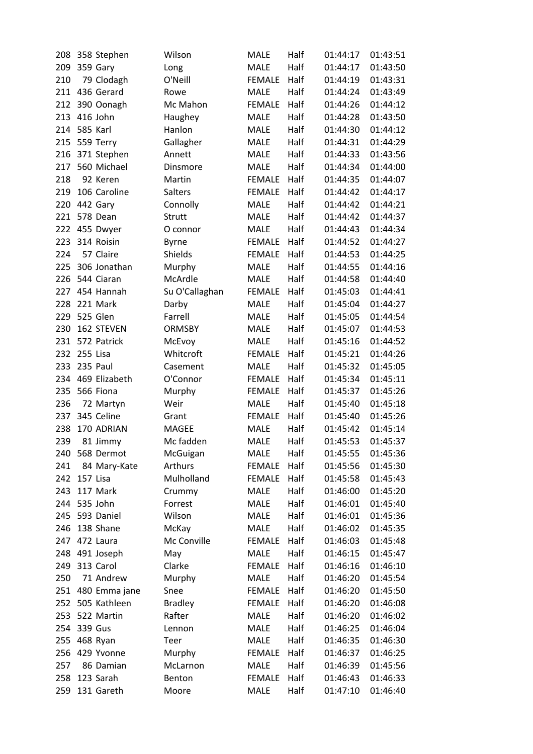| 208 | 358 Stephen       | Wilson         | <b>MALE</b>   | Half | 01:44:17 | 01:43:51 |
|-----|-------------------|----------------|---------------|------|----------|----------|
| 209 | 359 Gary          | Long           | <b>MALE</b>   | Half | 01:44:17 | 01:43:50 |
| 210 | 79 Clodagh        | O'Neill        | <b>FEMALE</b> | Half | 01:44:19 | 01:43:31 |
| 211 | 436 Gerard        | Rowe           | <b>MALE</b>   | Half | 01:44:24 | 01:43:49 |
| 212 | 390 Oonagh        | Mc Mahon       | <b>FEMALE</b> | Half | 01:44:26 | 01:44:12 |
| 213 | 416 John          | Haughey        | <b>MALE</b>   | Half | 01:44:28 | 01:43:50 |
| 214 | 585 Karl          | Hanlon         | MALE          | Half | 01:44:30 | 01:44:12 |
| 215 | 559 Terry         | Gallagher      | <b>MALE</b>   | Half | 01:44:31 | 01:44:29 |
| 216 | 371 Stephen       | Annett         | <b>MALE</b>   | Half | 01:44:33 | 01:43:56 |
| 217 | 560 Michael       | Dinsmore       | <b>MALE</b>   | Half | 01:44:34 | 01:44:00 |
| 218 | 92 Keren          | Martin         | <b>FEMALE</b> | Half | 01:44:35 | 01:44:07 |
| 219 | 106 Caroline      | Salters        | <b>FEMALE</b> | Half | 01:44:42 | 01:44:17 |
| 220 | 442 Gary          | Connolly       | <b>MALE</b>   | Half | 01:44:42 | 01:44:21 |
| 221 | 578 Dean          | Strutt         | <b>MALE</b>   | Half | 01:44:42 | 01:44:37 |
| 222 | 455 Dwyer         | O connor       | <b>MALE</b>   | Half | 01:44:43 | 01:44:34 |
| 223 | 314 Roisin        | <b>Byrne</b>   | <b>FEMALE</b> | Half | 01:44:52 | 01:44:27 |
| 224 | 57 Claire         | Shields        | <b>FEMALE</b> | Half | 01:44:53 | 01:44:25 |
| 225 | 306 Jonathan      | Murphy         | <b>MALE</b>   | Half | 01:44:55 | 01:44:16 |
| 226 | 544 Ciaran        | McArdle        | <b>MALE</b>   | Half | 01:44:58 | 01:44:40 |
| 227 | 454 Hannah        | Su O'Callaghan | <b>FEMALE</b> | Half | 01:45:03 | 01:44:41 |
| 228 | 221 Mark          | Darby          | <b>MALE</b>   | Half | 01:45:04 | 01:44:27 |
| 229 | 525 Glen          | Farrell        | <b>MALE</b>   | Half | 01:45:05 | 01:44:54 |
| 230 | 162 STEVEN        | <b>ORMSBY</b>  | MALE          | Half | 01:45:07 | 01:44:53 |
| 231 | 572 Patrick       | McEvoy         | <b>MALE</b>   | Half | 01:45:16 | 01:44:52 |
| 232 | 255 Lisa          | Whitcroft      | <b>FEMALE</b> | Half | 01:45:21 | 01:44:26 |
| 233 | 235 Paul          | Casement       | <b>MALE</b>   | Half | 01:45:32 | 01:45:05 |
| 234 | 469 Elizabeth     | O'Connor       | <b>FEMALE</b> | Half | 01:45:34 | 01:45:11 |
| 235 | 566 Fiona         | Murphy         | <b>FEMALE</b> | Half | 01:45:37 | 01:45:26 |
| 236 | 72 Martyn         | Weir           | <b>MALE</b>   | Half | 01:45:40 | 01:45:18 |
| 237 | 345 Celine        | Grant          | <b>FEMALE</b> | Half | 01:45:40 | 01:45:26 |
| 238 | 170 ADRIAN        | <b>MAGEE</b>   | <b>MALE</b>   | Half | 01:45:42 | 01:45:14 |
| 239 | 81 Jimmy          | Mc fadden      | <b>MALE</b>   | Half | 01:45:53 | 01:45:37 |
| 240 | 568 Dermot        | McGuigan       | MALE          | Half | 01:45:55 | 01:45:36 |
| 241 | 84 Mary-Kate      | Arthurs        | <b>FEMALE</b> | Half | 01:45:56 | 01:45:30 |
| 242 | 157 Lisa          | Mulholland     | <b>FEMALE</b> | Half | 01:45:58 | 01:45:43 |
| 243 | 117 Mark          | Crummy         | MALE          | Half | 01:46:00 | 01:45:20 |
|     | 244 535 John      | Forrest        | MALE          | Half | 01:46:01 | 01:45:40 |
| 245 | 593 Daniel        | Wilson         | MALE          | Half | 01:46:01 | 01:45:36 |
| 246 | 138 Shane         | McKay          | <b>MALE</b>   | Half | 01:46:02 | 01:45:35 |
| 247 | 472 Laura         | Mc Conville    | <b>FEMALE</b> | Half | 01:46:03 | 01:45:48 |
| 248 | 491 Joseph        | May            | <b>MALE</b>   | Half | 01:46:15 | 01:45:47 |
| 249 | 313 Carol         | Clarke         | <b>FEMALE</b> | Half | 01:46:16 | 01:46:10 |
| 250 | 71 Andrew         | Murphy         | MALE          | Half | 01:46:20 | 01:45:54 |
|     | 251 480 Emma jane | Snee           | <b>FEMALE</b> | Half | 01:46:20 | 01:45:50 |
| 252 | 505 Kathleen      | <b>Bradley</b> | <b>FEMALE</b> | Half | 01:46:20 | 01:46:08 |
| 253 | 522 Martin        | Rafter         | MALE          | Half | 01:46:20 | 01:46:02 |
| 254 | 339 Gus           | Lennon         | <b>MALE</b>   | Half | 01:46:25 | 01:46:04 |
| 255 | 468 Ryan          | Teer           | MALE          | Half | 01:46:35 | 01:46:30 |
| 256 | 429 Yvonne        | Murphy         | <b>FEMALE</b> | Half | 01:46:37 | 01:46:25 |
| 257 | 86 Damian         | McLarnon       | MALE          | Half | 01:46:39 | 01:45:56 |
| 258 | 123 Sarah         | Benton         | <b>FEMALE</b> | Half | 01:46:43 | 01:46:33 |
| 259 | 131 Gareth        | Moore          | MALE          | Half | 01:47:10 | 01:46:40 |
|     |                   |                |               |      |          |          |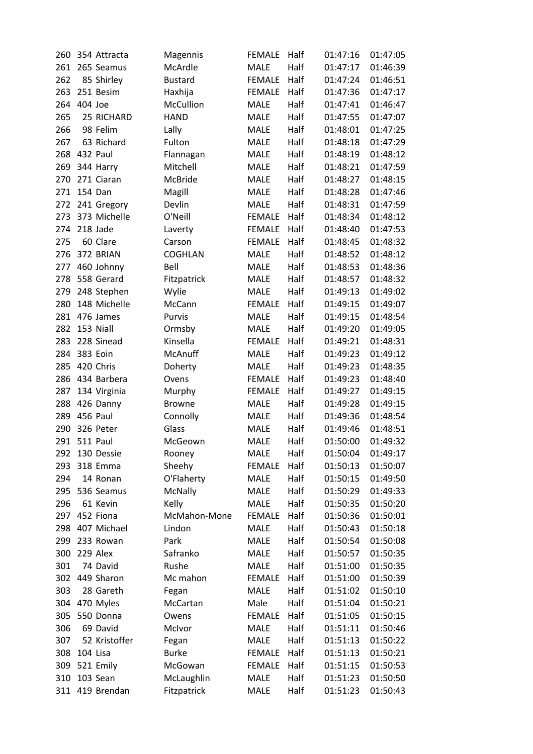| 260 | 354 Attracta  | Magennis       | <b>FEMALE</b> | Half | 01:47:16 | 01:47:05 |
|-----|---------------|----------------|---------------|------|----------|----------|
| 261 | 265 Seamus    | McArdle        | <b>MALE</b>   | Half | 01:47:17 | 01:46:39 |
| 262 | 85 Shirley    | <b>Bustard</b> | <b>FEMALE</b> | Half | 01:47:24 | 01:46:51 |
| 263 | 251 Besim     | Haxhija        | <b>FEMALE</b> | Half | 01:47:36 | 01:47:17 |
| 264 | 404 Joe       | McCullion      | <b>MALE</b>   | Half | 01:47:41 | 01:46:47 |
| 265 | 25 RICHARD    | <b>HAND</b>    | <b>MALE</b>   | Half | 01:47:55 | 01:47:07 |
| 266 | 98 Felim      | Lally          | <b>MALE</b>   | Half | 01:48:01 | 01:47:25 |
| 267 | 63 Richard    | Fulton         | <b>MALE</b>   | Half | 01:48:18 | 01:47:29 |
| 268 | 432 Paul      | Flannagan      | <b>MALE</b>   | Half | 01:48:19 | 01:48:12 |
| 269 | 344 Harry     | Mitchell       | <b>MALE</b>   | Half | 01:48:21 | 01:47:59 |
| 270 | 271 Ciaran    | McBride        | MALE          | Half | 01:48:27 | 01:48:15 |
| 271 | 154 Dan       | Magill         | <b>MALE</b>   | Half | 01:48:28 | 01:47:46 |
| 272 | 241 Gregory   | Devlin         | MALE          | Half | 01:48:31 | 01:47:59 |
| 273 | 373 Michelle  | O'Neill        | <b>FEMALE</b> | Half | 01:48:34 | 01:48:12 |
| 274 | 218 Jade      | Laverty        | <b>FEMALE</b> | Half | 01:48:40 | 01:47:53 |
| 275 | 60 Clare      | Carson         | <b>FEMALE</b> | Half | 01:48:45 | 01:48:32 |
| 276 | 372 BRIAN     | <b>COGHLAN</b> | MALE          | Half | 01:48:52 | 01:48:12 |
| 277 | 460 Johnny    | Bell           | <b>MALE</b>   | Half | 01:48:53 | 01:48:36 |
| 278 | 558 Gerard    | Fitzpatrick    | MALE          | Half | 01:48:57 | 01:48:32 |
| 279 | 248 Stephen   | Wylie          | MALE          | Half | 01:49:13 | 01:49:02 |
| 280 | 148 Michelle  | McCann         | <b>FEMALE</b> | Half | 01:49:15 | 01:49:07 |
| 281 | 476 James     | Purvis         | <b>MALE</b>   | Half | 01:49:15 | 01:48:54 |
| 282 | 153 Niall     | Ormsby         | <b>MALE</b>   | Half | 01:49:20 | 01:49:05 |
| 283 | 228 Sinead    | Kinsella       | <b>FEMALE</b> | Half | 01:49:21 | 01:48:31 |
| 284 | 383 Eoin      | McAnuff        | <b>MALE</b>   | Half | 01:49:23 | 01:49:12 |
| 285 | 420 Chris     | Doherty        | <b>MALE</b>   | Half | 01:49:23 | 01:48:35 |
| 286 | 434 Barbera   | Ovens          | <b>FEMALE</b> | Half | 01:49:23 | 01:48:40 |
| 287 | 134 Virginia  |                | <b>FEMALE</b> | Half | 01:49:27 | 01:49:15 |
|     |               | Murphy         |               |      |          |          |
| 288 | 426 Danny     | <b>Browne</b>  | MALE          | Half | 01:49:28 | 01:49:15 |
| 289 | 456 Paul      | Connolly       | MALE          | Half | 01:49:36 | 01:48:54 |
| 290 | 326 Peter     | Glass          | <b>MALE</b>   | Half | 01:49:46 | 01:48:51 |
| 291 | 511 Paul      | McGeown        | MALE          | Half | 01:50:00 | 01:49:32 |
| 292 | 130 Dessie    | Rooney         | MALE          | Half | 01:50:04 | 01:49:17 |
| 293 | 318 Emma      | Sheehy         | <b>FEMALE</b> | Half | 01:50:13 | 01:50:07 |
| 294 | 14 Ronan      | O'Flaherty     | MALE          | Half | 01:50:15 | 01:49:50 |
| 295 | 536 Seamus    | <b>McNally</b> | MALE          | Half | 01:50:29 | 01:49:33 |
| 296 | 61 Kevin      | Kelly          | <b>MALE</b>   | Half | 01:50:35 | 01:50:20 |
| 297 | 452 Fiona     | McMahon-Mone   | <b>FEMALE</b> | Half | 01:50:36 | 01:50:01 |
| 298 | 407 Michael   | Lindon         | MALE          | Half | 01:50:43 | 01:50:18 |
| 299 | 233 Rowan     | Park           | <b>MALE</b>   | Half | 01:50:54 | 01:50:08 |
| 300 | 229 Alex      | Safranko       | <b>MALE</b>   | Half | 01:50:57 | 01:50:35 |
| 301 | 74 David      | Rushe          | MALE          | Half | 01:51:00 | 01:50:35 |
| 302 | 449 Sharon    | Mc mahon       | <b>FEMALE</b> | Half | 01:51:00 | 01:50:39 |
| 303 | 28 Gareth     | Fegan          | MALE          | Half | 01:51:02 | 01:50:10 |
| 304 | 470 Myles     | McCartan       | Male          | Half | 01:51:04 | 01:50:21 |
| 305 | 550 Donna     | Owens          | <b>FEMALE</b> | Half | 01:51:05 | 01:50:15 |
| 306 | 69 David      | McIvor         | <b>MALE</b>   | Half | 01:51:11 | 01:50:46 |
| 307 | 52 Kristoffer | Fegan          | <b>MALE</b>   | Half | 01:51:13 | 01:50:22 |
| 308 | 104 Lisa      | <b>Burke</b>   | <b>FEMALE</b> | Half | 01:51:13 | 01:50:21 |
| 309 | 521 Emily     | McGowan        | <b>FEMALE</b> | Half | 01:51:15 | 01:50:53 |
| 310 | 103 Sean      | McLaughlin     | MALE          | Half | 01:51:23 | 01:50:50 |
| 311 | 419 Brendan   | Fitzpatrick    | MALE          | Half | 01:51:23 | 01:50:43 |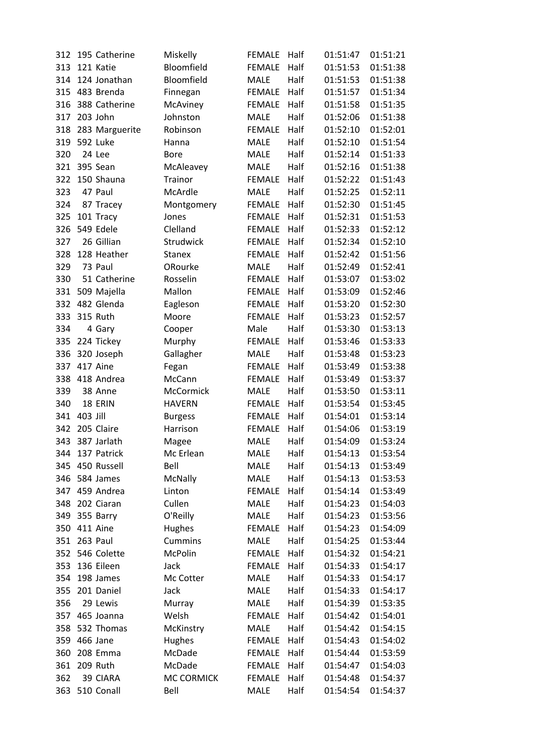| 312 | 195 Catherine          |                | Miskelly          | <b>FEMALE</b> | Half | 01:51:47 | 01:51:21 |
|-----|------------------------|----------------|-------------------|---------------|------|----------|----------|
| 313 | 121 Katie              |                | Bloomfield        | <b>FEMALE</b> | Half | 01:51:53 | 01:51:38 |
| 314 | 124 Jonathan           |                | Bloomfield        | <b>MALE</b>   | Half | 01:51:53 | 01:51:38 |
| 315 | 483 Brenda             |                | Finnegan          | <b>FEMALE</b> | Half | 01:51:57 | 01:51:34 |
| 316 | 388 Catherine          |                | McAviney          | <b>FEMALE</b> | Half | 01:51:58 | 01:51:35 |
| 317 | 203 John               |                | Johnston          | <b>MALE</b>   | Half | 01:52:06 | 01:51:38 |
| 318 |                        | 283 Marguerite | Robinson          | <b>FEMALE</b> | Half | 01:52:10 | 01:52:01 |
| 319 | 592 Luke               |                | Hanna             | <b>MALE</b>   | Half | 01:52:10 | 01:51:54 |
| 320 | 24 Lee                 |                | <b>Bore</b>       | <b>MALE</b>   | Half | 01:52:14 | 01:51:33 |
| 321 | 395 Sean               |                | McAleavey         | <b>MALE</b>   | Half | 01:52:16 | 01:51:38 |
| 322 | 150 Shauna             |                | <b>Trainor</b>    | <b>FEMALE</b> | Half | 01:52:22 | 01:51:43 |
| 323 | 47 Paul                |                | McArdle           | MALE          | Half | 01:52:25 | 01:52:11 |
| 324 | 87 Tracey              |                | Montgomery        | <b>FEMALE</b> | Half | 01:52:30 | 01:51:45 |
| 325 | 101 Tracy              |                | Jones             | <b>FEMALE</b> | Half | 01:52:31 | 01:51:53 |
| 326 | 549 Edele              |                | Clelland          | <b>FEMALE</b> | Half | 01:52:33 | 01:52:12 |
| 327 | 26 Gillian             |                | Strudwick         | <b>FEMALE</b> | Half | 01:52:34 | 01:52:10 |
| 328 | 128 Heather            |                | <b>Stanex</b>     | <b>FEMALE</b> | Half | 01:52:42 | 01:51:56 |
| 329 | 73 Paul                |                | ORourke           | <b>MALE</b>   | Half | 01:52:49 | 01:52:41 |
| 330 |                        | 51 Catherine   | Rosselin          | <b>FEMALE</b> | Half | 01:53:07 | 01:53:02 |
| 331 | 509 Majella            |                | Mallon            | <b>FEMALE</b> | Half | 01:53:09 | 01:52:46 |
| 332 | 482 Glenda             |                | Eagleson          | <b>FEMALE</b> | Half | 01:53:20 | 01:52:30 |
| 333 | <b>315 Ruth</b>        |                | Moore             | <b>FEMALE</b> | Half | 01:53:23 | 01:52:57 |
| 334 | 4 Gary                 |                |                   | Male          | Half | 01:53:30 | 01:53:13 |
| 335 | 224 Tickey             |                | Cooper            | <b>FEMALE</b> | Half | 01:53:46 | 01:53:33 |
| 336 |                        |                | Murphy            | <b>MALE</b>   | Half | 01:53:48 | 01:53:23 |
| 337 | 320 Joseph<br>417 Aine |                | Gallagher         | <b>FEMALE</b> | Half | 01:53:49 | 01:53:38 |
|     |                        |                | Fegan             |               |      |          |          |
| 338 | 418 Andrea             |                | McCann            | <b>FEMALE</b> | Half | 01:53:49 | 01:53:37 |
| 339 | 38 Anne                |                | McCormick         | <b>MALE</b>   | Half | 01:53:50 | 01:53:11 |
| 340 | 18 ERIN                |                | <b>HAVERN</b>     | <b>FEMALE</b> | Half | 01:53:54 | 01:53:45 |
| 341 | 403 Jill               |                | <b>Burgess</b>    | <b>FEMALE</b> | Half | 01:54:01 | 01:53:14 |
| 342 | 205 Claire             |                | Harrison          | <b>FEMALE</b> | Half | 01:54:06 | 01:53:19 |
| 343 | 387 Jarlath            |                | Magee             | <b>MALE</b>   | Half | 01:54:09 | 01:53:24 |
| 344 | 137 Patrick            |                | Mc Erlean         | <b>MALE</b>   | Half | 01:54:13 | 01:53:54 |
| 345 | 450 Russell            |                | Bell              | MALE          | Half | 01:54:13 | 01:53:49 |
| 346 | 584 James              |                | <b>McNally</b>    | <b>MALE</b>   | Half | 01:54:13 | 01:53:53 |
| 347 | 459 Andrea             |                | Linton            | <b>FEMALE</b> | Half | 01:54:14 | 01:53:49 |
| 348 | 202 Ciaran             |                | Cullen            | MALE          | Half | 01:54:23 | 01:54:03 |
| 349 | 355 Barry              |                | O'Reilly          | <b>MALE</b>   | Half | 01:54:23 | 01:53:56 |
| 350 | 411 Aine               |                | Hughes            | <b>FEMALE</b> | Half | 01:54:23 | 01:54:09 |
| 351 | 263 Paul               |                | Cummins           | <b>MALE</b>   | Half | 01:54:25 | 01:53:44 |
| 352 | 546 Colette            |                | <b>McPolin</b>    | <b>FEMALE</b> | Half | 01:54:32 | 01:54:21 |
| 353 | 136 Eileen             |                | Jack              | <b>FEMALE</b> | Half | 01:54:33 | 01:54:17 |
| 354 | 198 James              |                | Mc Cotter         | MALE          | Half | 01:54:33 | 01:54:17 |
| 355 | 201 Daniel             |                | Jack              | <b>MALE</b>   | Half | 01:54:33 | 01:54:17 |
| 356 | 29 Lewis               |                | Murray            | MALE          | Half | 01:54:39 | 01:53:35 |
| 357 | 465 Joanna             |                | Welsh             | <b>FEMALE</b> | Half | 01:54:42 | 01:54:01 |
| 358 | 532 Thomas             |                | McKinstry         | <b>MALE</b>   | Half | 01:54:42 | 01:54:15 |
| 359 | 466 Jane               |                | Hughes            | <b>FEMALE</b> | Half | 01:54:43 | 01:54:02 |
| 360 | 208 Emma               |                | McDade            | <b>FEMALE</b> | Half | 01:54:44 | 01:53:59 |
| 361 | 209 Ruth               |                | McDade            | <b>FEMALE</b> | Half | 01:54:47 | 01:54:03 |
| 362 | 39 CIARA               |                | <b>MC CORMICK</b> | <b>FEMALE</b> | Half | 01:54:48 | 01:54:37 |
| 363 | 510 Conall             |                | Bell              | MALE          | Half | 01:54:54 | 01:54:37 |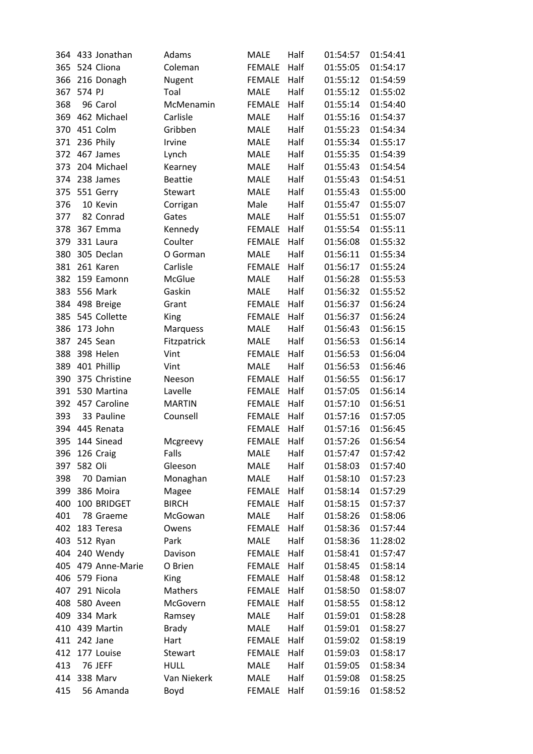| 364 | 433 Jonathan   | Adams          | <b>MALE</b>   | Half | 01:54:57 | 01:54:41 |
|-----|----------------|----------------|---------------|------|----------|----------|
| 365 | 524 Cliona     | Coleman        | <b>FEMALE</b> | Half | 01:55:05 | 01:54:17 |
| 366 | 216 Donagh     | Nugent         | <b>FEMALE</b> | Half | 01:55:12 | 01:54:59 |
| 367 | 574 PJ         | Toal           | <b>MALE</b>   | Half | 01:55:12 | 01:55:02 |
| 368 | 96 Carol       | McMenamin      | <b>FEMALE</b> | Half | 01:55:14 | 01:54:40 |
| 369 | 462 Michael    | Carlisle       | <b>MALE</b>   | Half | 01:55:16 | 01:54:37 |
| 370 | 451 Colm       | Gribben        | <b>MALE</b>   | Half | 01:55:23 | 01:54:34 |
| 371 | 236 Phily      | Irvine         | <b>MALE</b>   | Half | 01:55:34 | 01:55:17 |
| 372 | 467 James      | Lynch          | <b>MALE</b>   | Half | 01:55:35 | 01:54:39 |
| 373 | 204 Michael    | Kearney        | MALE          | Half | 01:55:43 | 01:54:54 |
| 374 | 238 James      | <b>Beattie</b> | MALE          | Half | 01:55:43 | 01:54:51 |
| 375 | 551 Gerry      | Stewart        | <b>MALE</b>   | Half | 01:55:43 | 01:55:00 |
| 376 | 10 Kevin       | Corrigan       | Male          | Half | 01:55:47 | 01:55:07 |
| 377 | 82 Conrad      | Gates          | <b>MALE</b>   | Half | 01:55:51 | 01:55:07 |
| 378 | 367 Emma       | Kennedy        | <b>FEMALE</b> | Half | 01:55:54 | 01:55:11 |
| 379 | 331 Laura      | Coulter        | <b>FEMALE</b> | Half | 01:56:08 | 01:55:32 |
| 380 | 305 Declan     | O Gorman       | <b>MALE</b>   | Half | 01:56:11 | 01:55:34 |
| 381 | 261 Karen      | Carlisle       | <b>FEMALE</b> | Half | 01:56:17 | 01:55:24 |
| 382 | 159 Eamonn     | McGlue         | <b>MALE</b>   | Half | 01:56:28 | 01:55:53 |
| 383 | 556 Mark       | Gaskin         | <b>MALE</b>   | Half | 01:56:32 | 01:55:52 |
| 384 | 498 Breige     | Grant          | <b>FEMALE</b> | Half | 01:56:37 | 01:56:24 |
| 385 | 545 Collette   |                | <b>FEMALE</b> | Half | 01:56:37 | 01:56:24 |
|     |                | King           |               |      |          |          |
| 386 | 173 John       | Marquess       | MALE          | Half | 01:56:43 | 01:56:15 |
| 387 | 245 Sean       | Fitzpatrick    | <b>MALE</b>   | Half | 01:56:53 | 01:56:14 |
| 388 | 398 Helen      | Vint           | <b>FEMALE</b> | Half | 01:56:53 | 01:56:04 |
| 389 | 401 Phillip    | Vint           | <b>MALE</b>   | Half | 01:56:53 | 01:56:46 |
| 390 | 375 Christine  | Neeson         | <b>FEMALE</b> | Half | 01:56:55 | 01:56:17 |
| 391 | 530 Martina    | Lavelle        | <b>FEMALE</b> | Half | 01:57:05 | 01:56:14 |
| 392 | 457 Caroline   | <b>MARTIN</b>  | <b>FEMALE</b> | Half | 01:57:10 | 01:56:51 |
| 393 | 33 Pauline     | Counsell       | <b>FEMALE</b> | Half | 01:57:16 | 01:57:05 |
| 394 | 445 Renata     |                | <b>FEMALE</b> | Half | 01:57:16 | 01:56:45 |
| 395 | 144 Sinead     | Mcgreevy       | <b>FEMALE</b> | Half | 01:57:26 | 01:56:54 |
| 396 | 126 Craig      | Falls          | MALE          | Half | 01:57:47 | 01:57:42 |
| 397 | 582 Oli        | Gleeson        | MALE          | Half | 01:58:03 | 01:57:40 |
| 398 | 70 Damian      | Monaghan       | MALE          | Half | 01:58:10 | 01:57:23 |
| 399 | 386 Moira      | Magee          | <b>FEMALE</b> | Half | 01:58:14 | 01:57:29 |
| 400 | 100 BRIDGET    | <b>BIRCH</b>   | <b>FEMALE</b> | Half | 01:58:15 | 01:57:37 |
| 401 | 78 Graeme      | McGowan        | MALE          | Half | 01:58:26 | 01:58:06 |
| 402 | 183 Teresa     | Owens          | <b>FEMALE</b> | Half | 01:58:36 | 01:57:44 |
| 403 | 512 Ryan       | Park           | MALE          | Half | 01:58:36 | 11:28:02 |
| 404 | 240 Wendy      | Davison        | <b>FEMALE</b> | Half | 01:58:41 | 01:57:47 |
| 405 | 479 Anne-Marie | O Brien        | <b>FEMALE</b> | Half | 01:58:45 | 01:58:14 |
| 406 | 579 Fiona      | <b>King</b>    | <b>FEMALE</b> | Half | 01:58:48 | 01:58:12 |
| 407 | 291 Nicola     | Mathers        | <b>FEMALE</b> | Half | 01:58:50 | 01:58:07 |
| 408 | 580 Aveen      | McGovern       | <b>FEMALE</b> | Half | 01:58:55 | 01:58:12 |
| 409 | 334 Mark       | Ramsey         | MALE          | Half | 01:59:01 | 01:58:28 |
| 410 | 439 Martin     | <b>Brady</b>   | <b>MALE</b>   | Half | 01:59:01 | 01:58:27 |
| 411 | 242 Jane       | Hart           | <b>FEMALE</b> | Half | 01:59:02 | 01:58:19 |
| 412 | 177 Louise     | Stewart        | <b>FEMALE</b> | Half | 01:59:03 | 01:58:17 |
| 413 | 76 JEFF        | <b>HULL</b>    | MALE          | Half | 01:59:05 | 01:58:34 |
| 414 | 338 Marv       | Van Niekerk    | MALE          | Half | 01:59:08 | 01:58:25 |
| 415 | 56 Amanda      | Boyd           | <b>FEMALE</b> | Half | 01:59:16 | 01:58:52 |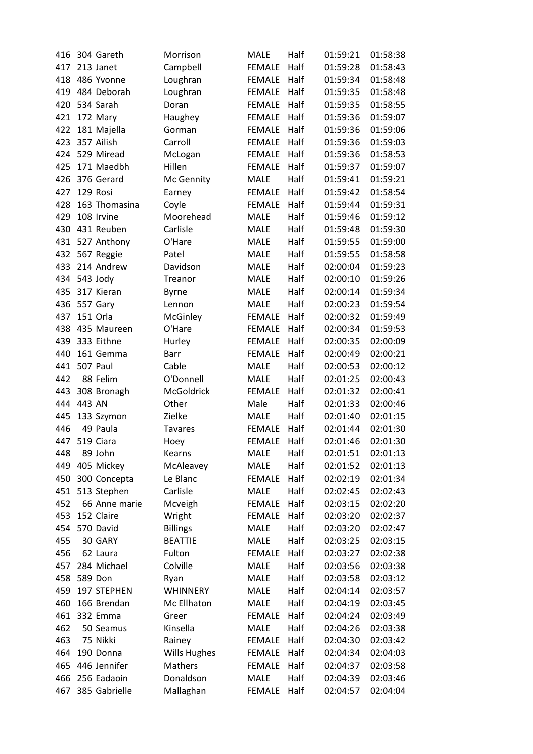| 416 | 304 Gareth    | Morrison            | <b>MALE</b>   | Half | 01:59:21 | 01:58:38 |
|-----|---------------|---------------------|---------------|------|----------|----------|
| 417 | 213 Janet     | Campbell            | <b>FEMALE</b> | Half | 01:59:28 | 01:58:43 |
| 418 | 486 Yvonne    |                     | <b>FEMALE</b> | Half | 01:59:34 | 01:58:48 |
|     | 484 Deborah   | Loughran            |               | Half |          | 01:58:48 |
| 419 |               | Loughran            | <b>FEMALE</b> | Half | 01:59:35 |          |
| 420 | 534 Sarah     | Doran               | <b>FEMALE</b> |      | 01:59:35 | 01:58:55 |
| 421 | 172 Mary      | Haughey             | <b>FEMALE</b> | Half | 01:59:36 | 01:59:07 |
| 422 | 181 Majella   | Gorman              | <b>FEMALE</b> | Half | 01:59:36 | 01:59:06 |
| 423 | 357 Ailish    | Carroll             | <b>FEMALE</b> | Half | 01:59:36 | 01:59:03 |
| 424 | 529 Miread    | McLogan             | <b>FEMALE</b> | Half | 01:59:36 | 01:58:53 |
| 425 | 171 Maedbh    | Hillen              | <b>FEMALE</b> | Half | 01:59:37 | 01:59:07 |
| 426 | 376 Gerard    | Mc Gennity          | <b>MALE</b>   | Half | 01:59:41 | 01:59:21 |
| 427 | 129 Rosi      | Earney              | <b>FEMALE</b> | Half | 01:59:42 | 01:58:54 |
| 428 | 163 Thomasina | Coyle               | <b>FEMALE</b> | Half | 01:59:44 | 01:59:31 |
| 429 | 108 Irvine    | Moorehead           | <b>MALE</b>   | Half | 01:59:46 | 01:59:12 |
| 430 | 431 Reuben    | Carlisle            | <b>MALE</b>   | Half | 01:59:48 | 01:59:30 |
| 431 | 527 Anthony   | O'Hare              | MALE          | Half | 01:59:55 | 01:59:00 |
| 432 | 567 Reggie    | Patel               | <b>MALE</b>   | Half | 01:59:55 | 01:58:58 |
| 433 | 214 Andrew    | Davidson            | MALE          | Half | 02:00:04 | 01:59:23 |
| 434 | 543 Jody      | Treanor             | <b>MALE</b>   | Half | 02:00:10 | 01:59:26 |
| 435 | 317 Kieran    | <b>Byrne</b>        | MALE          | Half | 02:00:14 | 01:59:34 |
| 436 | 557 Gary      | Lennon              | <b>MALE</b>   | Half | 02:00:23 | 01:59:54 |
| 437 | 151 Orla      | McGinley            | <b>FEMALE</b> | Half | 02:00:32 | 01:59:49 |
| 438 | 435 Maureen   | O'Hare              | <b>FEMALE</b> | Half | 02:00:34 | 01:59:53 |
| 439 | 333 Eithne    | Hurley              | <b>FEMALE</b> | Half | 02:00:35 | 02:00:09 |
| 440 | 161 Gemma     | Barr                | <b>FEMALE</b> | Half | 02:00:49 | 02:00:21 |
| 441 | 507 Paul      | Cable               | <b>MALE</b>   | Half | 02:00:53 | 02:00:12 |
| 442 | 88 Felim      | O'Donnell           | <b>MALE</b>   | Half | 02:01:25 | 02:00:43 |
| 443 | 308 Bronagh   | McGoldrick          | <b>FEMALE</b> | Half | 02:01:32 | 02:00:41 |
| 444 | 443 AN        | Other               | Male          | Half | 02:01:33 | 02:00:46 |
| 445 | 133 Szymon    | Zielke              | <b>MALE</b>   | Half | 02:01:40 | 02:01:15 |
| 446 | 49 Paula      | <b>Tavares</b>      | <b>FEMALE</b> | Half | 02:01:44 | 02:01:30 |
| 447 | 519 Ciara     | Hoey                | <b>FEMALE</b> | Half | 02:01:46 | 02:01:30 |
| 448 | 89 John       | Kearns              | <b>MALE</b>   | Half | 02:01:51 | 02:01:13 |
| 449 | 405 Mickey    | McAleavey           | <b>MALE</b>   | Half | 02:01:52 | 02:01:13 |
| 450 | 300 Concepta  | Le Blanc            | <b>FEMALE</b> | Half | 02:02:19 | 02:01:34 |
| 451 | 513 Stephen   | Carlisle            | <b>MALE</b>   | Half | 02:02:45 | 02:02:43 |
| 452 | 66 Anne marie | Mcveigh             | <b>FEMALE</b> | Half | 02:03:15 | 02:02:20 |
| 453 | 152 Claire    | Wright              | <b>FEMALE</b> | Half | 02:03:20 | 02:02:37 |
| 454 | 570 David     | <b>Billings</b>     | <b>MALE</b>   | Half | 02:03:20 | 02:02:47 |
| 455 | 30 GARY       | <b>BEATTIE</b>      | <b>MALE</b>   | Half | 02:03:25 | 02:03:15 |
| 456 | 62 Laura      | Fulton              | <b>FEMALE</b> | Half | 02:03:27 | 02:02:38 |
| 457 | 284 Michael   | Colville            | <b>MALE</b>   | Half | 02:03:56 | 02:03:38 |
| 458 | 589 Don       | Ryan                | <b>MALE</b>   | Half | 02:03:58 | 02:03:12 |
| 459 | 197 STEPHEN   | <b>WHINNERY</b>     | <b>MALE</b>   | Half | 02:04:14 | 02:03:57 |
| 460 | 166 Brendan   | Mc Ellhaton         | <b>MALE</b>   | Half | 02:04:19 | 02:03:45 |
| 461 | 332 Emma      | Greer               | <b>FEMALE</b> | Half | 02:04:24 | 02:03:49 |
| 462 | 50 Seamus     | Kinsella            | <b>MALE</b>   | Half | 02:04:26 | 02:03:38 |
| 463 | 75 Nikki      | Rainey              | <b>FEMALE</b> | Half | 02:04:30 | 02:03:42 |
| 464 | 190 Donna     | <b>Wills Hughes</b> | <b>FEMALE</b> | Half | 02:04:34 | 02:04:03 |
| 465 | 446 Jennifer  | Mathers             | <b>FEMALE</b> | Half | 02:04:37 | 02:03:58 |
| 466 | 256 Eadaoin   | Donaldson           | <b>MALE</b>   | Half | 02:04:39 | 02:03:46 |
| 467 | 385 Gabrielle | Mallaghan           | <b>FEMALE</b> | Half | 02:04:57 | 02:04:04 |
|     |               |                     |               |      |          |          |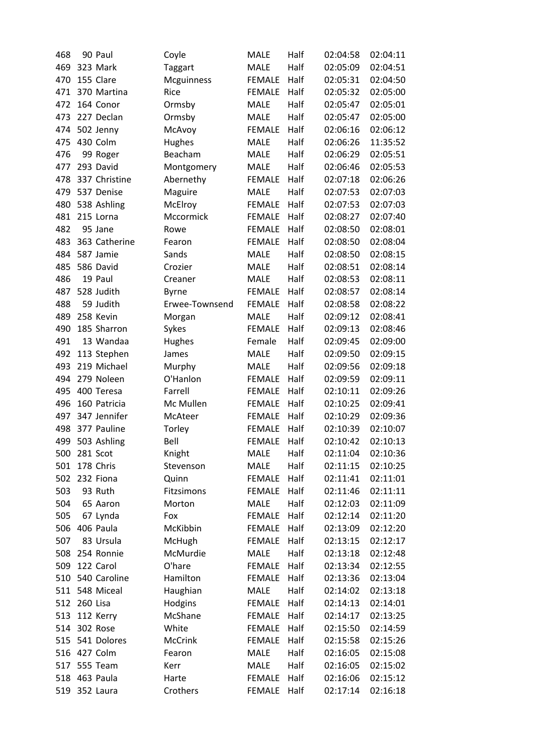| 468        |          | 90 Paul               | Coyle          | <b>MALE</b>   | Half | 02:04:58 | 02:04:11 |
|------------|----------|-----------------------|----------------|---------------|------|----------|----------|
| 469        |          | 323 Mark              | <b>Taggart</b> | <b>MALE</b>   | Half | 02:05:09 | 02:04:51 |
| 470        |          | 155 Clare             | Mcguinness     | <b>FEMALE</b> | Half | 02:05:31 | 02:04:50 |
| 471        |          | 370 Martina           | Rice           | <b>FEMALE</b> | Half | 02:05:32 | 02:05:00 |
| 472        |          | 164 Conor             | Ormsby         | <b>MALE</b>   | Half | 02:05:47 | 02:05:01 |
| 473        |          | 227 Declan            | Ormsby         | <b>MALE</b>   | Half | 02:05:47 | 02:05:00 |
| 474        |          | 502 Jenny             | McAvoy         | <b>FEMALE</b> | Half | 02:06:16 | 02:06:12 |
| 475        |          | 430 Colm              | Hughes         | <b>MALE</b>   | Half | 02:06:26 | 11:35:52 |
| 476        |          | 99 Roger              | Beacham        | <b>MALE</b>   | Half | 02:06:29 | 02:05:51 |
| 477        |          | 293 David             | Montgomery     | <b>MALE</b>   | Half | 02:06:46 | 02:05:53 |
| 478        |          | 337 Christine         | Abernethy      | <b>FEMALE</b> | Half | 02:07:18 | 02:06:26 |
| 479        |          | 537 Denise            | Maguire        | <b>MALE</b>   | Half | 02:07:53 | 02:07:03 |
| 480        |          | 538 Ashling           | McElroy        | <b>FEMALE</b> | Half | 02:07:53 | 02:07:03 |
| 481        |          | 215 Lorna             | Mccormick      | <b>FEMALE</b> | Half | 02:08:27 | 02:07:40 |
| 482        |          | 95 Jane               | Rowe           | <b>FEMALE</b> | Half | 02:08:50 | 02:08:01 |
| 483        |          | 363 Catherine         | Fearon         | <b>FEMALE</b> | Half | 02:08:50 | 02:08:04 |
| 484        |          | 587 Jamie             | Sands          | <b>MALE</b>   | Half | 02:08:50 | 02:08:15 |
| 485        |          | 586 David             | Crozier        | <b>MALE</b>   | Half | 02:08:51 | 02:08:14 |
| 486        |          | 19 Paul               | Creaner        | <b>MALE</b>   | Half | 02:08:53 | 02:08:11 |
| 487        |          | 528 Judith            | <b>Byrne</b>   | <b>FEMALE</b> | Half | 02:08:57 | 02:08:14 |
| 488        |          | 59 Judith             | Erwee-Townsend | <b>FEMALE</b> | Half | 02:08:58 | 02:08:22 |
| 489        |          | 258 Kevin             | Morgan         | <b>MALE</b>   | Half | 02:09:12 | 02:08:41 |
| 490        |          | 185 Sharron           | Sykes          | <b>FEMALE</b> | Half | 02:09:13 | 02:08:46 |
| 491        |          | 13 Wandaa             | Hughes         | Female        | Half | 02:09:45 | 02:09:00 |
| 492        |          | 113 Stephen           | James          | <b>MALE</b>   | Half | 02:09:50 | 02:09:15 |
| 493        |          | 219 Michael           | Murphy         | <b>MALE</b>   | Half | 02:09:56 | 02:09:18 |
| 494        |          | 279 Noleen            | O'Hanlon       | <b>FEMALE</b> | Half | 02:09:59 | 02:09:11 |
| 495        |          | 400 Teresa            | Farrell        | <b>FEMALE</b> | Half | 02:10:11 | 02:09:26 |
| 496        |          | 160 Patricia          | Mc Mullen      | <b>FEMALE</b> | Half | 02:10:25 | 02:09:41 |
| 497        |          | 347 Jennifer          | McAteer        | <b>FEMALE</b> | Half | 02:10:29 | 02:09:36 |
| 498        |          | 377 Pauline           | Torley         | <b>FEMALE</b> | Half | 02:10:39 | 02:10:07 |
| 499        |          | 503 Ashling           | Bell           | <b>FEMALE</b> | Half | 02:10:42 | 02:10:13 |
| 500        |          | 281 Scot              | Knight         | <b>MALE</b>   | Half | 02:11:04 | 02:10:36 |
| 501        |          | 178 Chris             | Stevenson      | <b>MALE</b>   | Half | 02:11:15 | 02:10:25 |
| 502        |          | 232 Fiona             | Quinn          | <b>FEMALE</b> | Half | 02:11:41 | 02:11:01 |
| 503        |          | 93 Ruth               | Fitzsimons     | <b>FEMALE</b> | Half | 02:11:46 | 02:11:11 |
| 504        |          | 65 Aaron              | Morton         | <b>MALE</b>   | Half | 02:12:03 | 02:11:09 |
| 505        |          | 67 Lynda              | Fox            | <b>FEMALE</b> | Half | 02:12:14 | 02:11:20 |
| 506        |          | 406 Paula             | McKibbin       | <b>FEMALE</b> | Half | 02:13:09 | 02:12:20 |
| 507        |          | 83 Ursula             | McHugh         | <b>FEMALE</b> | Half | 02:13:15 | 02:12:17 |
| 508        |          | 254 Ronnie            | McMurdie       | <b>MALE</b>   | Half | 02:13:18 | 02:12:48 |
| 509        |          | 122 Carol             | O'hare         | <b>FEMALE</b> | Half | 02:13:34 | 02:12:55 |
|            |          | 510 540 Caroline      | Hamilton       | <b>FEMALE</b> | Half | 02:13:36 | 02:13:04 |
|            |          | 511 548 Miceal        | Haughian       | <b>MALE</b>   | Half | 02:14:02 | 02:13:18 |
| 512        | 260 Lisa |                       | Hodgins        | <b>FEMALE</b> | Half | 02:14:13 | 02:14:01 |
|            |          |                       | McShane        | <b>FEMALE</b> | Half | 02:14:17 | 02:13:25 |
| 513<br>514 |          | 112 Kerry<br>302 Rose | White          | <b>FEMALE</b> | Half | 02:15:50 | 02:14:59 |
|            |          |                       |                |               |      |          |          |
|            |          | 515 541 Dolores       | McCrink        | <b>FEMALE</b> | Half | 02:15:58 | 02:15:26 |
| 516        |          | 427 Colm              | Fearon         | <b>MALE</b>   | Half | 02:16:05 | 02:15:08 |
| 517        |          | 555 Team              | Kerr           | <b>MALE</b>   | Half | 02:16:05 | 02:15:02 |
| 518        |          | 463 Paula             | Harte          | <b>FEMALE</b> | Half | 02:16:06 | 02:15:12 |
| 519        |          | 352 Laura             | Crothers       | <b>FEMALE</b> | Half | 02:17:14 | 02:16:18 |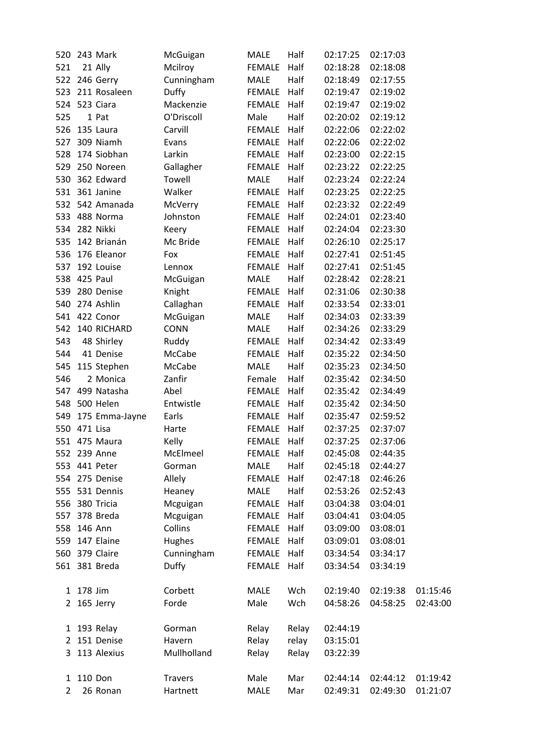| 520            |              | 243 Mark         | McGuigan       | <b>MALE</b>   | Half  | 02:17:25 | 02:17:03 |          |
|----------------|--------------|------------------|----------------|---------------|-------|----------|----------|----------|
| 521            |              | 21 Ally          | Mcilroy        | <b>FEMALE</b> | Half  | 02:18:28 | 02:18:08 |          |
|                |              | 522 246 Gerry    | Cunningham     | MALE          | Half  | 02:18:49 | 02:17:55 |          |
|                |              | 523 211 Rosaleen | Duffy          | FEMALE        | Half  | 02:19:47 | 02:19:02 |          |
|                |              | 524 523 Ciara    | Mackenzie      | FEMALE        | Half  | 02:19:47 | 02:19:02 |          |
| 525            |              | 1 Pat            | O'Driscoll     | Male          | Half  | 02:20:02 | 02:19:12 |          |
| 526            |              | 135 Laura        | Carvill        | FEMALE        | Half  | 02:22:06 | 02:22:02 |          |
| 527            |              | 309 Niamh        | Evans          | FEMALE        | Half  | 02:22:06 | 02:22:02 |          |
| 528            |              | 174 Siobhan      | Larkin         | <b>FEMALE</b> | Half  | 02:23:00 | 02:22:15 |          |
|                |              | 529 250 Noreen   | Gallagher      | FEMALE        | Half  | 02:23:22 | 02:22:25 |          |
|                |              | 530 362 Edward   | Towell         | <b>MALE</b>   | Half  | 02:23:24 | 02:22:24 |          |
|                |              | 531 361 Janine   | Walker         | FEMALE        | Half  | 02:23:25 | 02:22:25 |          |
|                |              | 532 542 Amanada  | McVerry        | <b>FEMALE</b> | Half  | 02:23:32 | 02:22:49 |          |
|                |              | 533 488 Norma    | Johnston       | <b>FEMALE</b> | Half  | 02:24:01 | 02:23:40 |          |
|                |              | 534 282 Nikki    | Keery          | <b>FEMALE</b> | Half  | 02:24:04 | 02:23:30 |          |
| 535            |              | 142 Brianán      | Mc Bride       | FEMALE        | Half  | 02:26:10 | 02:25:17 |          |
| 536            |              | 176 Eleanor      | Fox            | FEMALE        | Half  | 02:27:41 | 02:51:45 |          |
| 537            |              | 192 Louise       | Lennox         | <b>FEMALE</b> | Half  | 02:27:41 | 02:51:45 |          |
|                |              | 538 425 Paul     | McGuigan       | <b>MALE</b>   | Half  | 02:28:42 | 02:28:21 |          |
|                |              | 539 280 Denise   | Knight         | FEMALE        | Half  | 02:31:06 | 02:30:38 |          |
| 540            |              | 274 Ashlin       | Callaghan      | FEMALE        | Half  | 02:33:54 | 02:33:01 |          |
|                |              | 541 422 Conor    | McGuigan       | MALE          | Half  | 02:34:03 | 02:33:39 |          |
|                |              | 542 140 RICHARD  | <b>CONN</b>    | <b>MALE</b>   | Half  | 02:34:26 | 02:33:29 |          |
| 543            |              | 48 Shirley       | Ruddy          | <b>FEMALE</b> | Half  | 02:34:42 | 02:33:49 |          |
| 544            |              | 41 Denise        | McCabe         | FEMALE        | Half  | 02:35:22 | 02:34:50 |          |
| 545            |              | 115 Stephen      | McCabe         | <b>MALE</b>   | Half  | 02:35:23 | 02:34:50 |          |
| 546            |              | 2 Monica         | Zanfir         | Female        | Half  | 02:35:42 | 02:34:50 |          |
|                |              | 547 499 Natasha  | Abel           | <b>FEMALE</b> | Half  | 02:35:42 | 02:34:49 |          |
|                |              | 548 500 Helen    | Entwistle      | <b>FEMALE</b> | Half  | 02:35:42 | 02:34:50 |          |
| 549            |              | 175 Emma-Jayne   | Earls          | <b>FEMALE</b> | Half  | 02:35:47 | 02:59:52 |          |
|                | 550 471 Lisa |                  | Harte          | FEMALE        | Half  | 02:37:25 | 02:37:07 |          |
|                |              | 551 475 Maura    | Kelly          | FEMALE Half   |       | 02:37:25 | 02:37:06 |          |
|                |              | 552 239 Anne     | McElmeel       | FEMALE Half   |       | 02:45:08 | 02:44:35 |          |
|                |              | 553 441 Peter    | Gorman         | <b>MALE</b>   | Half  | 02:45:18 | 02:44:27 |          |
|                |              | 554 275 Denise   | Allely         | <b>FEMALE</b> | Half  | 02:47:18 | 02:46:26 |          |
|                |              | 555 531 Dennis   | Heaney         | <b>MALE</b>   | Half  | 02:53:26 | 02:52:43 |          |
| 556            |              | 380 Tricia       | Mcguigan       | <b>FEMALE</b> | Half  | 03:04:38 | 03:04:01 |          |
| 557            |              | 378 Breda        | Mcguigan       | FEMALE        | Half  | 03:04:41 | 03:04:05 |          |
| 558            |              | 146 Ann          | Collins        | <b>FEMALE</b> | Half  | 03:09:00 | 03:08:01 |          |
| 559            |              | 147 Elaine       | Hughes         | <b>FEMALE</b> | Half  | 03:09:01 | 03:08:01 |          |
| 560            |              | 379 Claire       | Cunningham     | <b>FEMALE</b> | Half  | 03:34:54 | 03:34:17 |          |
|                |              | 561 381 Breda    | <b>Duffy</b>   | FEMALE        | Half  | 03:34:54 | 03:34:19 |          |
| 1              | 178 Jim      |                  | Corbett        | <b>MALE</b>   | Wch   | 02:19:40 | 02:19:38 | 01:15:46 |
| $2^{\circ}$    |              | 165 Jerry        | Forde          | Male          | Wch   | 04:58:26 | 04:58:25 | 02:43:00 |
|                |              |                  |                |               |       |          |          |          |
| 1              |              | 193 Relay        | Gorman         | Relay         | Relay | 02:44:19 |          |          |
|                |              | 2 151 Denise     | Havern         | Relay         | relay | 03:15:01 |          |          |
| 3              |              | 113 Alexius      | Mullholland    | Relay         | Relay | 03:22:39 |          |          |
|                | 1 110 Don    |                  | <b>Travers</b> | Male          | Mar   | 02:44:14 | 02:44:12 | 01:19:42 |
| $\overline{2}$ |              | 26 Ronan         | Hartnett       | <b>MALE</b>   | Mar   | 02:49:31 | 02:49:30 | 01:21:07 |
|                |              |                  |                |               |       |          |          |          |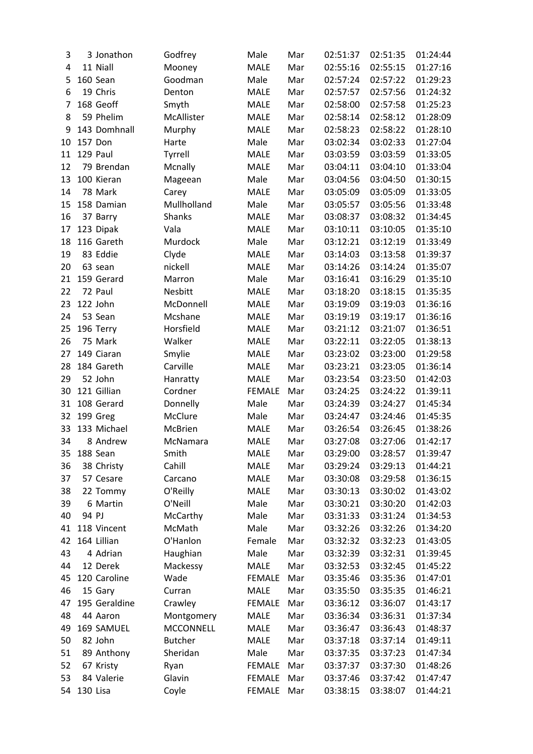| 3  |          | 3 Jonathon              | Godfrey          | Male          | Mar | 02:51:37 | 02:51:35 | 01:24:44 |
|----|----------|-------------------------|------------------|---------------|-----|----------|----------|----------|
| 4  |          | 11 Niall                | Mooney           | <b>MALE</b>   | Mar | 02:55:16 | 02:55:15 | 01:27:16 |
| 5  |          | 160 Sean                | Goodman          | Male          | Mar | 02:57:24 | 02:57:22 | 01:29:23 |
| 6  |          | 19 Chris                | Denton           | <b>MALE</b>   | Mar | 02:57:57 | 02:57:56 | 01:24:32 |
| 7  |          | 168 Geoff               | Smyth            | <b>MALE</b>   | Mar | 02:58:00 | 02:57:58 | 01:25:23 |
| 8  |          | 59 Phelim               | McAllister       | <b>MALE</b>   | Mar | 02:58:14 | 02:58:12 | 01:28:09 |
| 9  |          | 143 Domhnall            | Murphy           | <b>MALE</b>   | Mar | 02:58:23 | 02:58:22 | 01:28:10 |
| 10 |          | 157 Don                 | Harte            | Male          | Mar | 03:02:34 | 03:02:33 | 01:27:04 |
| 11 |          | 129 Paul                | Tyrrell          | <b>MALE</b>   | Mar | 03:03:59 | 03:03:59 | 01:33:05 |
| 12 |          | 79 Brendan              | Mcnally          | <b>MALE</b>   | Mar | 03:04:11 | 03:04:10 | 01:33:04 |
| 13 |          | 100 Kieran              | Mageean          | Male          | Mar | 03:04:56 | 03:04:50 | 01:30:15 |
| 14 |          | 78 Mark                 | Carey            | MALE          | Mar | 03:05:09 | 03:05:09 | 01:33:05 |
| 15 |          | 158 Damian              | Mullholland      | Male          | Mar | 03:05:57 | 03:05:56 | 01:33:48 |
| 16 |          | 37 Barry                | Shanks           | <b>MALE</b>   | Mar | 03:08:37 | 03:08:32 | 01:34:45 |
| 17 |          |                         | Vala             | <b>MALE</b>   | Mar | 03:10:11 | 03:10:05 | 01:35:10 |
|    |          | 123 Dipak<br>116 Gareth |                  |               |     |          |          |          |
| 18 |          |                         | Murdock          | Male          | Mar | 03:12:21 | 03:12:19 | 01:33:49 |
| 19 |          | 83 Eddie                | Clyde            | <b>MALE</b>   | Mar | 03:14:03 | 03:13:58 | 01:39:37 |
| 20 |          | 63 sean                 | nickell          | <b>MALE</b>   | Mar | 03:14:26 | 03:14:24 | 01:35:07 |
| 21 |          | 159 Gerard              | Marron           | Male          | Mar | 03:16:41 | 03:16:29 | 01:35:10 |
| 22 |          | 72 Paul                 | Nesbitt          | <b>MALE</b>   | Mar | 03:18:20 | 03:18:15 | 01:35:35 |
| 23 |          | 122 John                | McDonnell        | <b>MALE</b>   | Mar | 03:19:09 | 03:19:03 | 01:36:16 |
| 24 |          | 53 Sean                 | Mcshane          | MALE          | Mar | 03:19:19 | 03:19:17 | 01:36:16 |
| 25 |          | 196 Terry               | Horsfield        | <b>MALE</b>   | Mar | 03:21:12 | 03:21:07 | 01:36:51 |
| 26 |          | 75 Mark                 | Walker           | <b>MALE</b>   | Mar | 03:22:11 | 03:22:05 | 01:38:13 |
| 27 |          | 149 Ciaran              | Smylie           | <b>MALE</b>   | Mar | 03:23:02 | 03:23:00 | 01:29:58 |
| 28 |          | 184 Gareth              | Carville         | <b>MALE</b>   | Mar | 03:23:21 | 03:23:05 | 01:36:14 |
| 29 |          | 52 John                 | Hanratty         | <b>MALE</b>   | Mar | 03:23:54 | 03:23:50 | 01:42:03 |
| 30 |          | 121 Gillian             | Cordner          | <b>FEMALE</b> | Mar | 03:24:25 | 03:24:22 | 01:39:11 |
| 31 |          | 108 Gerard              | Donnelly         | Male          | Mar | 03:24:39 | 03:24:27 | 01:45:34 |
| 32 |          | 199 Greg                | McClure          | Male          | Mar | 03:24:47 | 03:24:46 | 01:45:35 |
| 33 |          | 133 Michael             | McBrien          | <b>MALE</b>   | Mar | 03:26:54 | 03:26:45 | 01:38:26 |
| 34 |          | 8 Andrew                | McNamara         | <b>MALE</b>   | Mar | 03:27:08 | 03:27:06 | 01:42:17 |
| 35 |          | 188 Sean                | Smith            | <b>MALE</b>   | Mar | 03:29:00 | 03:28:57 | 01:39:47 |
| 36 |          | 38 Christy              | Cahill           | <b>MALE</b>   | Mar | 03:29:24 | 03:29:13 | 01:44:21 |
| 37 |          | 57 Cesare               | Carcano          | <b>MALE</b>   | Mar | 03:30:08 | 03:29:58 | 01:36:15 |
| 38 |          | 22 Tommy                | O'Reilly         | <b>MALE</b>   | Mar | 03:30:13 | 03:30:02 | 01:43:02 |
| 39 |          | 6 Martin                | O'Neill          | Male          | Mar | 03:30:21 | 03:30:20 | 01:42:03 |
| 40 | 94 PJ    |                         | McCarthy         | Male          | Mar | 03:31:33 | 03:31:24 | 01:34:53 |
| 41 |          | 118 Vincent             | McMath           | Male          | Mar | 03:32:26 | 03:32:26 | 01:34:20 |
| 42 |          | 164 Lillian             | O'Hanlon         | Female        | Mar | 03:32:32 | 03:32:23 | 01:43:05 |
|    |          | 4 Adrian                |                  |               | Mar |          |          |          |
| 43 |          | 12 Derek                | Haughian         | Male          |     | 03:32:39 | 03:32:31 | 01:39:45 |
| 44 |          |                         | Mackessy         | <b>MALE</b>   | Mar | 03:32:53 | 03:32:45 | 01:45:22 |
| 45 |          | 120 Caroline            | Wade             | <b>FEMALE</b> | Mar | 03:35:46 | 03:35:36 | 01:47:01 |
| 46 |          | 15 Gary                 | Curran           | <b>MALE</b>   | Mar | 03:35:50 | 03:35:35 | 01:46:21 |
| 47 |          | 195 Geraldine           | Crawley          | <b>FEMALE</b> | Mar | 03:36:12 | 03:36:07 | 01:43:17 |
| 48 |          | 44 Aaron                | Montgomery       | <b>MALE</b>   | Mar | 03:36:34 | 03:36:31 | 01:37:34 |
| 49 |          | 169 SAMUEL              | <b>MCCONNELL</b> | <b>MALE</b>   | Mar | 03:36:47 | 03:36:43 | 01:48:37 |
| 50 |          | 82 John                 | <b>Butcher</b>   | <b>MALE</b>   | Mar | 03:37:18 | 03:37:14 | 01:49:11 |
| 51 |          | 89 Anthony              | Sheridan         | Male          | Mar | 03:37:35 | 03:37:23 | 01:47:34 |
| 52 |          | 67 Kristy               | Ryan             | <b>FEMALE</b> | Mar | 03:37:37 | 03:37:30 | 01:48:26 |
| 53 |          | 84 Valerie              | Glavin           | <b>FEMALE</b> | Mar | 03:37:46 | 03:37:42 | 01:47:47 |
| 54 | 130 Lisa |                         | Coyle            | <b>FEMALE</b> | Mar | 03:38:15 | 03:38:07 | 01:44:21 |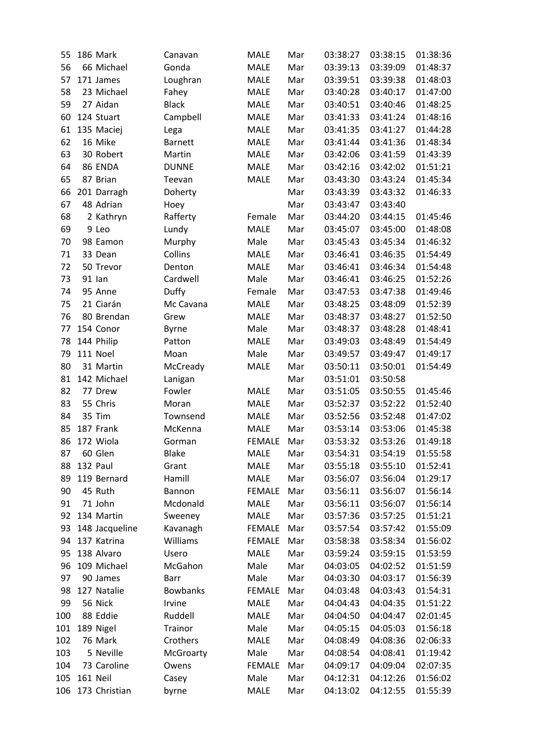| 55  |          | 186 Mark       | Canavan         | <b>MALE</b>   | Mar | 03:38:27 | 03:38:15 | 01:38:36 |
|-----|----------|----------------|-----------------|---------------|-----|----------|----------|----------|
| 56  |          | 66 Michael     | Gonda           | <b>MALE</b>   | Mar | 03:39:13 | 03:39:09 | 01:48:37 |
| 57  |          | 171 James      | Loughran        | <b>MALE</b>   | Mar | 03:39:51 | 03:39:38 | 01:48:03 |
| 58  |          | 23 Michael     | Fahey           | <b>MALE</b>   | Mar | 03:40:28 | 03:40:17 | 01:47:00 |
| 59  |          | 27 Aidan       | <b>Black</b>    | <b>MALE</b>   | Mar | 03:40:51 | 03:40:46 | 01:48:25 |
| 60  |          | 124 Stuart     | Campbell        | <b>MALE</b>   | Mar | 03:41:33 | 03:41:24 | 01:48:16 |
| 61  |          | 135 Maciej     | Lega            | <b>MALE</b>   | Mar | 03:41:35 | 03:41:27 | 01:44:28 |
| 62  |          | 16 Mike        | <b>Barnett</b>  | <b>MALE</b>   | Mar | 03:41:44 | 03:41:36 | 01:48:34 |
| 63  |          | 30 Robert      | Martin          | <b>MALE</b>   | Mar | 03:42:06 | 03:41:59 | 01:43:39 |
| 64  |          | 86 ENDA        | <b>DUNNE</b>    | <b>MALE</b>   | Mar | 03:42:16 | 03:42:02 | 01:51:21 |
| 65  |          | 87 Brian       | Teevan          | <b>MALE</b>   | Mar | 03:43:30 | 03:43:24 | 01:45:34 |
| 66  |          | 201 Darragh    | Doherty         |               | Mar | 03:43:39 | 03:43:32 | 01:46:33 |
| 67  |          | 48 Adrian      | Hoey            |               | Mar | 03:43:47 | 03:43:40 |          |
| 68  |          | 2 Kathryn      | Rafferty        | Female        | Mar | 03:44:20 | 03:44:15 | 01:45:46 |
| 69  |          | 9 Leo          | Lundy           | <b>MALE</b>   | Mar | 03:45:07 | 03:45:00 | 01:48:08 |
| 70  |          | 98 Eamon       | Murphy          | Male          | Mar | 03:45:43 | 03:45:34 | 01:46:32 |
| 71  |          | 33 Dean        | Collins         | <b>MALE</b>   | Mar | 03:46:41 | 03:46:35 | 01:54:49 |
| 72  |          | 50 Trevor      | Denton          | <b>MALE</b>   | Mar | 03:46:41 | 03:46:34 | 01:54:48 |
| 73  |          | 91 lan         | Cardwell        | Male          | Mar | 03:46:41 | 03:46:25 | 01:52:26 |
| 74  |          | 95 Anne        | Duffy           | Female        | Mar | 03:47:53 | 03:47:38 | 01:49:46 |
| 75  |          | 21 Ciarán      | Mc Cavana       | <b>MALE</b>   | Mar | 03:48:25 | 03:48:09 | 01:52:39 |
| 76  |          | 80 Brendan     | Grew            | <b>MALE</b>   | Mar | 03:48:37 | 03:48:27 | 01:52:50 |
| 77  |          | 154 Conor      | <b>Byrne</b>    | Male          | Mar | 03:48:37 | 03:48:28 | 01:48:41 |
| 78  |          | 144 Philip     | Patton          | <b>MALE</b>   | Mar | 03:49:03 | 03:48:49 | 01:54:49 |
| 79  |          | 111 Noel       | Moan            | Male          | Mar | 03:49:57 | 03:49:47 | 01:49:17 |
| 80  |          | 31 Martin      | McCready        | <b>MALE</b>   | Mar | 03:50:11 | 03:50:01 | 01:54:49 |
| 81  |          | 142 Michael    | Lanigan         |               | Mar | 03:51:01 | 03:50:58 |          |
| 82  |          | 77 Drew        | Fowler          | <b>MALE</b>   | Mar | 03:51:05 | 03:50:55 | 01:45:46 |
| 83  |          | 55 Chris       | Moran           | <b>MALE</b>   | Mar | 03:52:37 | 03:52:22 | 01:52:40 |
| 84  |          | 35 Tim         | Townsend        | <b>MALE</b>   | Mar | 03:52:56 | 03:52:48 | 01:47:02 |
| 85  |          | 187 Frank      | McKenna         | <b>MALE</b>   | Mar | 03:53:14 | 03:53:06 | 01:45:38 |
| 86  |          | 172 Wiola      | Gorman          | <b>FEMALE</b> | Mar | 03:53:32 | 03:53:26 | 01:49:18 |
| 87  |          | 60 Glen        | <b>Blake</b>    | <b>MALE</b>   | Mar | 03:54:31 | 03:54:19 | 01:55:58 |
| 88  |          | 132 Paul       | Grant           | <b>MALE</b>   | Mar | 03:55:18 | 03:55:10 | 01:52:41 |
| 89  |          | 119 Bernard    | Hamill          | <b>MALE</b>   | Mar | 03:56:07 | 03:56:04 | 01:29:17 |
| 90  |          | 45 Ruth        | Bannon          | <b>FEMALE</b> | Mar | 03:56:11 | 03:56:07 | 01:56:14 |
| 91  |          | 71 John        | Mcdonald        | <b>MALE</b>   | Mar | 03:56:11 | 03:56:07 | 01:56:14 |
| 92  |          | 134 Martin     | Sweeney         | <b>MALE</b>   | Mar | 03:57:36 | 03:57:25 | 01:51:21 |
| 93  |          | 148 Jacqueline | Kavanagh        | <b>FEMALE</b> | Mar | 03:57:54 | 03:57:42 | 01:55:09 |
| 94  |          | 137 Katrina    | Williams        | <b>FEMALE</b> | Mar | 03:58:38 | 03:58:34 | 01:56:02 |
| 95  |          | 138 Alvaro     | Usero           | <b>MALE</b>   | Mar | 03:59:24 | 03:59:15 | 01:53:59 |
| 96  |          | 109 Michael    | McGahon         | Male          | Mar | 04:03:05 | 04:02:52 | 01:51:59 |
| 97  |          | 90 James       | Barr            | Male          | Mar | 04:03:30 | 04:03:17 | 01:56:39 |
| 98  |          | 127 Natalie    | <b>Bowbanks</b> | <b>FEMALE</b> | Mar | 04:03:48 | 04:03:43 | 01:54:31 |
| 99  |          | 56 Nick        | Irvine          | <b>MALE</b>   | Mar | 04:04:43 | 04:04:35 | 01:51:22 |
| 100 |          | 88 Eddie       | Ruddell         | MALE          | Mar | 04:04:50 | 04:04:47 | 02:01:45 |
| 101 |          | 189 Nigel      | Trainor         | Male          | Mar | 04:05:15 | 04:05:03 | 01:56:18 |
| 102 |          | 76 Mark        | Crothers        | <b>MALE</b>   | Mar | 04:08:49 | 04:08:36 | 02:06:33 |
| 103 |          | 5 Neville      | McGroarty       | Male          | Mar | 04:08:54 | 04:08:41 | 01:19:42 |
| 104 |          | 73 Caroline    | Owens           | <b>FEMALE</b> | Mar | 04:09:17 | 04:09:04 | 02:07:35 |
| 105 | 161 Neil |                | Casey           | Male          | Mar | 04:12:31 | 04:12:26 | 01:56:02 |
| 106 |          | 173 Christian  | byrne           | <b>MALE</b>   | Mar | 04:13:02 | 04:12:55 | 01:55:39 |
|     |          |                |                 |               |     |          |          |          |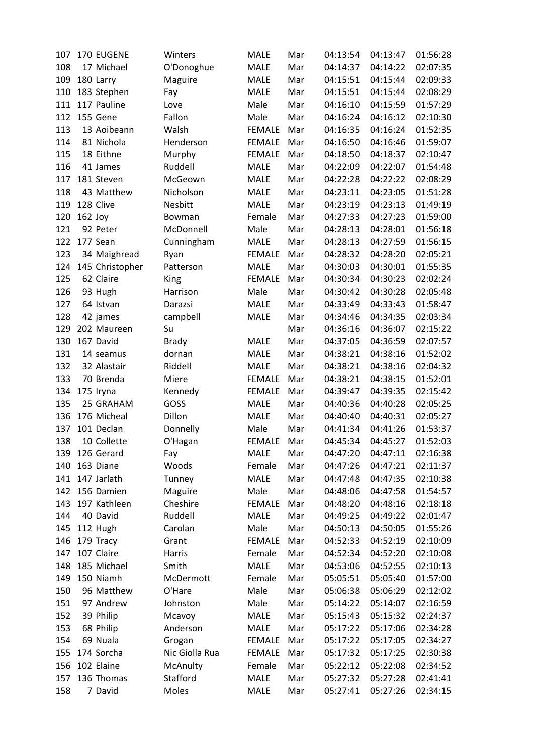| 107 |           | 170 EUGENE      | Winters        | <b>MALE</b>   | Mar | 04:13:54 | 04:13:47 | 01:56:28 |
|-----|-----------|-----------------|----------------|---------------|-----|----------|----------|----------|
| 108 |           | 17 Michael      | O'Donoghue     | <b>MALE</b>   | Mar | 04:14:37 | 04:14:22 | 02:07:35 |
| 109 |           | 180 Larry       | Maguire        | MALE          | Mar | 04:15:51 | 04:15:44 | 02:09:33 |
| 110 |           | 183 Stephen     | Fay            | <b>MALE</b>   | Mar | 04:15:51 | 04:15:44 | 02:08:29 |
| 111 |           | 117 Pauline     | Love           | Male          | Mar | 04:16:10 | 04:15:59 | 01:57:29 |
| 112 |           | 155 Gene        | Fallon         | Male          | Mar | 04:16:24 | 04:16:12 | 02:10:30 |
| 113 |           | 13 Aoibeann     | Walsh          | <b>FEMALE</b> | Mar | 04:16:35 | 04:16:24 | 01:52:35 |
| 114 |           | 81 Nichola      | Henderson      | <b>FEMALE</b> | Mar | 04:16:50 | 04:16:46 | 01:59:07 |
| 115 |           | 18 Eithne       | Murphy         | <b>FEMALE</b> | Mar | 04:18:50 | 04:18:37 | 02:10:47 |
| 116 |           | 41 James        | Ruddell        | <b>MALE</b>   | Mar | 04:22:09 | 04:22:07 | 01:54:48 |
| 117 |           | 181 Steven      | McGeown        | MALE          | Mar | 04:22:28 | 04:22:22 | 02:08:29 |
| 118 |           | 43 Matthew      | Nicholson      | <b>MALE</b>   | Mar | 04:23:11 | 04:23:05 | 01:51:28 |
| 119 |           | 128 Clive       | Nesbitt        | <b>MALE</b>   | Mar | 04:23:19 | 04:23:13 | 01:49:19 |
| 120 | $162$ Joy |                 | Bowman         | Female        | Mar | 04:27:33 | 04:27:23 | 01:59:00 |
| 121 |           | 92 Peter        | McDonnell      | Male          | Mar | 04:28:13 | 04:28:01 | 01:56:18 |
| 122 |           | 177 Sean        | Cunningham     | MALE          | Mar | 04:28:13 | 04:27:59 | 01:56:15 |
| 123 |           | 34 Maighread    | Ryan           | <b>FEMALE</b> | Mar | 04:28:32 | 04:28:20 | 02:05:21 |
| 124 |           | 145 Christopher | Patterson      | MALE          | Mar | 04:30:03 | 04:30:01 | 01:55:35 |
| 125 |           | 62 Claire       | King           | <b>FEMALE</b> | Mar | 04:30:34 | 04:30:23 | 02:02:24 |
| 126 |           | 93 Hugh         | Harrison       | Male          | Mar | 04:30:42 | 04:30:28 | 02:05:48 |
| 127 |           | 64 Istvan       | Darazsi        | <b>MALE</b>   | Mar | 04:33:49 | 04:33:43 | 01:58:47 |
| 128 |           | 42 james        | campbell       | MALE          | Mar | 04:34:46 | 04:34:35 | 02:03:34 |
| 129 |           | 202 Maureen     | Su             |               | Mar | 04:36:16 | 04:36:07 | 02:15:22 |
| 130 |           | 167 David       | <b>Brady</b>   | <b>MALE</b>   | Mar | 04:37:05 | 04:36:59 | 02:07:57 |
| 131 |           | 14 seamus       | dornan         | <b>MALE</b>   | Mar | 04:38:21 | 04:38:16 | 01:52:02 |
| 132 |           | 32 Alastair     | Riddell        | <b>MALE</b>   | Mar | 04:38:21 | 04:38:16 | 02:04:32 |
| 133 |           | 70 Brenda       | Miere          | <b>FEMALE</b> | Mar | 04:38:21 | 04:38:15 | 01:52:01 |
| 134 |           | 175 Iryna       | Kennedy        | <b>FEMALE</b> | Mar | 04:39:47 | 04:39:35 | 02:15:42 |
| 135 |           | 25 GRAHAM       | GOSS           | <b>MALE</b>   | Mar | 04:40:36 | 04:40:28 | 02:05:25 |
| 136 |           | 176 Micheal     | Dillon         | <b>MALE</b>   | Mar | 04:40:40 | 04:40:31 | 02:05:27 |
| 137 |           | 101 Declan      | Donnelly       | Male          | Mar | 04:41:34 | 04:41:26 | 01:53:37 |
| 138 |           | 10 Collette     | O'Hagan        | <b>FEMALE</b> | Mar | 04:45:34 | 04:45:27 | 01:52:03 |
| 139 |           | 126 Gerard      | Fay            | <b>MALE</b>   | Mar | 04:47:20 | 04:47:11 | 02:16:38 |
| 140 |           | 163 Diane       | Woods          | Female        | Mar | 04:47:26 | 04:47:21 | 02:11:37 |
| 141 |           | 147 Jarlath     | Tunney         | <b>MALE</b>   | Mar | 04:47:48 | 04:47:35 | 02:10:38 |
| 142 |           | 156 Damien      | Maguire        | Male          | Mar | 04:48:06 | 04:47:58 | 01:54:57 |
| 143 |           | 197 Kathleen    | Cheshire       | <b>FEMALE</b> | Mar | 04:48:20 | 04:48:16 | 02:18:18 |
| 144 |           | 40 David        | Ruddell        | <b>MALE</b>   | Mar | 04:49:25 | 04:49:22 | 02:01:47 |
| 145 |           | 112 Hugh        | Carolan        | Male          | Mar | 04:50:13 | 04:50:05 | 01:55:26 |
| 146 |           | 179 Tracy       | Grant          | <b>FEMALE</b> | Mar | 04:52:33 | 04:52:19 | 02:10:09 |
| 147 |           | 107 Claire      | Harris         | Female        | Mar | 04:52:34 | 04:52:20 | 02:10:08 |
| 148 |           | 185 Michael     | Smith          | <b>MALE</b>   | Mar | 04:53:06 | 04:52:55 | 02:10:13 |
| 149 |           | 150 Niamh       | McDermott      | Female        | Mar | 05:05:51 | 05:05:40 | 01:57:00 |
| 150 |           | 96 Matthew      | O'Hare         | Male          | Mar | 05:06:38 | 05:06:29 | 02:12:02 |
| 151 |           | 97 Andrew       | Johnston       | Male          | Mar | 05:14:22 | 05:14:07 | 02:16:59 |
| 152 |           | 39 Philip       | Mcavoy         | <b>MALE</b>   | Mar | 05:15:43 | 05:15:32 | 02:24:37 |
| 153 |           | 68 Philip       | Anderson       | MALE          | Mar | 05:17:22 | 05:17:06 | 02:34:28 |
| 154 |           | 69 Nuala        | Grogan         | <b>FEMALE</b> | Mar | 05:17:22 | 05:17:05 | 02:34:27 |
| 155 |           | 174 Sorcha      | Nic Giolla Rua | <b>FEMALE</b> | Mar | 05:17:32 | 05:17:25 | 02:30:38 |
| 156 |           | 102 Elaine      | McAnulty       | Female        | Mar | 05:22:12 | 05:22:08 | 02:34:52 |
| 157 |           | 136 Thomas      | Stafford       | MALE          | Mar | 05:27:32 | 05:27:28 | 02:41:41 |
| 158 |           | 7 David         | Moles          | <b>MALE</b>   | Mar | 05:27:41 | 05:27:26 | 02:34:15 |
|     |           |                 |                |               |     |          |          |          |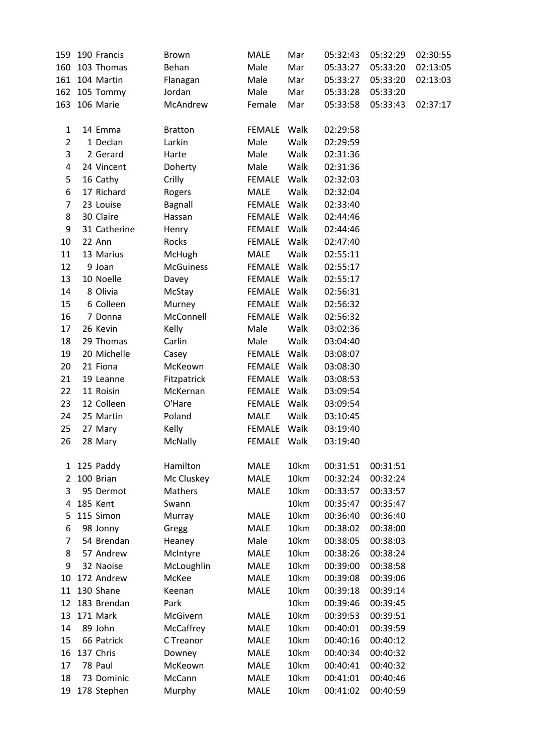| 159            | 190 Francis    | <b>Brown</b>     | <b>MALE</b>   | Mar  | 05:32:43 | 05:32:29 | 02:30:55 |
|----------------|----------------|------------------|---------------|------|----------|----------|----------|
| 160            | 103 Thomas     | Behan            | Male          | Mar  | 05:33:27 | 05:33:20 | 02:13:05 |
|                | 161 104 Martin | Flanagan         | Male          | Mar  | 05:33:27 | 05:33:20 | 02:13:03 |
|                | 162 105 Tommy  | Jordan           | Male          | Mar  | 05:33:28 | 05:33:20 |          |
|                | 163 106 Marie  | McAndrew         | Female        | Mar  | 05:33:58 | 05:33:43 | 02:37:17 |
|                |                |                  |               |      |          |          |          |
| $\mathbf{1}$   | 14 Emma        | <b>Bratton</b>   | <b>FEMALE</b> | Walk | 02:29:58 |          |          |
| $\overline{2}$ | 1 Declan       | Larkin           | Male          | Walk | 02:29:59 |          |          |
| 3              | 2 Gerard       | Harte            | Male          | Walk | 02:31:36 |          |          |
| 4              | 24 Vincent     | Doherty          | Male          | Walk | 02:31:36 |          |          |
| 5              | 16 Cathy       | Crilly           | FEMALE        | Walk | 02:32:03 |          |          |
| 6              | 17 Richard     | Rogers           | <b>MALE</b>   | Walk | 02:32:04 |          |          |
| $\overline{7}$ | 23 Louise      | <b>Bagnall</b>   | FEMALE        | Walk | 02:33:40 |          |          |
| 8              | 30 Claire      | Hassan           | FEMALE        | Walk | 02:44:46 |          |          |
| 9              | 31 Catherine   | Henry            | FEMALE        | Walk | 02:44:46 |          |          |
| 10             | 22 Ann         | Rocks            | FEMALE        | Walk | 02:47:40 |          |          |
| 11             | 13 Marius      | McHugh           | MALE          | Walk | 02:55:11 |          |          |
| 12             | 9 Joan         | <b>McGuiness</b> | <b>FEMALE</b> | Walk | 02:55:17 |          |          |
| 13             | 10 Noelle      | Davey            | FEMALE        | Walk | 02:55:17 |          |          |
| 14             | 8 Olivia       | McStay           | FEMALE        | Walk | 02:56:31 |          |          |
| 15             | 6 Colleen      | Murney           | FEMALE        | Walk | 02:56:32 |          |          |
| 16             | 7 Donna        | McConnell        | <b>FEMALE</b> | Walk | 02:56:32 |          |          |
| 17             | 26 Kevin       | Kelly            | Male          | Walk | 03:02:36 |          |          |
| 18             | 29 Thomas      | Carlin           | Male          | Walk | 03:04:40 |          |          |
| 19             | 20 Michelle    | Casey            | FEMALE        | Walk | 03:08:07 |          |          |
| 20             | 21 Fiona       | McKeown          | FEMALE        | Walk | 03:08:30 |          |          |
| 21             | 19 Leanne      | Fitzpatrick      | FEMALE        | Walk | 03:08:53 |          |          |
| 22             | 11 Roisin      | McKernan         | FEMALE        | Walk | 03:09:54 |          |          |
| 23             | 12 Colleen     | O'Hare           | FEMALE        | Walk |          |          |          |
|                | 25 Martin      | Poland           | <b>MALE</b>   | Walk | 03:09:54 |          |          |
| 24             |                |                  |               |      | 03:10:45 |          |          |
| 25             | 27 Mary        | Kelly            | FEMALE        | Walk | 03:19:40 |          |          |
| 26             | 28 Mary        | McNally          | FEMALE Walk   |      | 03:19:40 |          |          |
|                | 1 125 Paddy    | Hamilton         | <b>MALE</b>   | 10km | 00:31:51 | 00:31:51 |          |
| 2              | 100 Brian      | Mc Cluskey       | <b>MALE</b>   | 10km | 00:32:24 | 00:32:24 |          |
| 3              | 95 Dermot      | Mathers          | <b>MALE</b>   | 10km | 00:33:57 | 00:33:57 |          |
| 4              | 185 Kent       | Swann            |               | 10km | 00:35:47 | 00:35:47 |          |
| 5              | 115 Simon      | Murray           | <b>MALE</b>   | 10km | 00:36:40 | 00:36:40 |          |
| 6              | 98 Jonny       | Gregg            | <b>MALE</b>   | 10km | 00:38:02 | 00:38:00 |          |
| $\overline{7}$ | 54 Brendan     | Heaney           | Male          | 10km | 00:38:05 | 00:38:03 |          |
| 8              | 57 Andrew      | McIntyre         | <b>MALE</b>   | 10km | 00:38:26 | 00:38:24 |          |
| 9              | 32 Naoise      | McLoughlin       | <b>MALE</b>   | 10km | 00:39:00 | 00:38:58 |          |
| 10             | 172 Andrew     | McKee            | <b>MALE</b>   | 10km | 00:39:08 | 00:39:06 |          |
| 11             | 130 Shane      | Keenan           | <b>MALE</b>   | 10km | 00:39:18 | 00:39:14 |          |
| 12             | 183 Brendan    | Park             |               | 10km | 00:39:46 | 00:39:45 |          |
| 13             | 171 Mark       | McGivern         | <b>MALE</b>   | 10km | 00:39:53 | 00:39:51 |          |
| 14             | 89 John        | McCaffrey        | <b>MALE</b>   | 10km | 00:40:01 | 00:39:59 |          |
| 15             | 66 Patrick     | C Treanor        | <b>MALE</b>   | 10km | 00:40:16 | 00:40:12 |          |
| 16             | 137 Chris      | Downey           | <b>MALE</b>   | 10km | 00:40:34 | 00:40:32 |          |
| 17             | 78 Paul        | McKeown          | <b>MALE</b>   | 10km | 00:40:41 | 00:40:32 |          |
| 18             | 73 Dominic     | McCann           | <b>MALE</b>   | 10km | 00:41:01 | 00:40:46 |          |
| 19             | 178 Stephen    | Murphy           | MALE          | 10km | 00:41:02 | 00:40:59 |          |
|                |                |                  |               |      |          |          |          |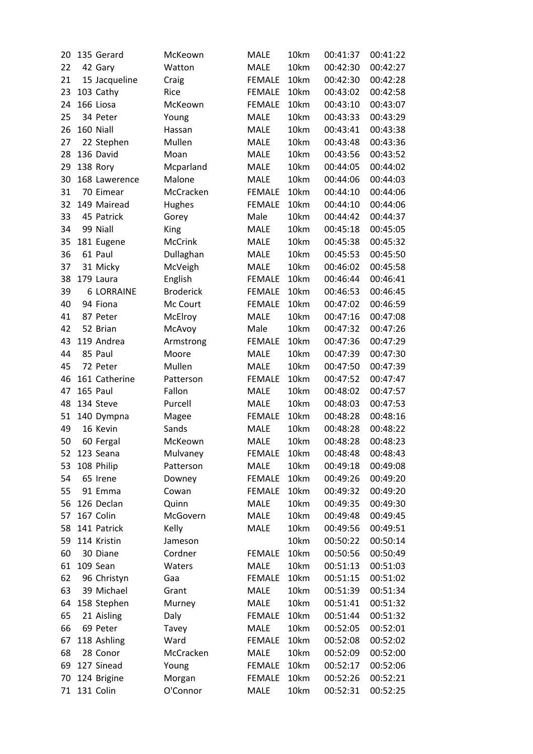| 20 | 135 Gerard        | McKeown          | <b>MALE</b>   | 10km         | 00:41:37 | 00:41:22 |
|----|-------------------|------------------|---------------|--------------|----------|----------|
| 22 | 42 Gary           | Watton           | <b>MALE</b>   | 10km         | 00:42:30 | 00:42:27 |
| 21 | 15 Jacqueline     | Craig            | <b>FEMALE</b> | 10km         | 00:42:30 | 00:42:28 |
| 23 | 103 Cathy         | Rice             | <b>FEMALE</b> | 10km         | 00:43:02 | 00:42:58 |
| 24 | 166 Liosa         | McKeown          | <b>FEMALE</b> | 10km         | 00:43:10 | 00:43:07 |
| 25 | 34 Peter          | Young            | <b>MALE</b>   | 10km         | 00:43:33 | 00:43:29 |
| 26 | 160 Niall         | Hassan           | <b>MALE</b>   | 10km         | 00:43:41 | 00:43:38 |
| 27 | 22 Stephen        | Mullen           | <b>MALE</b>   | 10km         | 00:43:48 | 00:43:36 |
| 28 | 136 David         | Moan             | <b>MALE</b>   | 10km         | 00:43:56 | 00:43:52 |
| 29 | 138 Rory          | Mcparland        | <b>MALE</b>   | 10km         | 00:44:05 | 00:44:02 |
| 30 | 168 Lawerence     | Malone           | <b>MALE</b>   | 10km         | 00:44:06 | 00:44:03 |
| 31 | 70 Eimear         | McCracken        | <b>FEMALE</b> | 10km         | 00:44:10 | 00:44:06 |
| 32 | 149 Mairead       | <b>Hughes</b>    | <b>FEMALE</b> | 10km         | 00:44:10 | 00:44:06 |
| 33 | 45 Patrick        | Gorey            | Male          | 10km         | 00:44:42 | 00:44:37 |
| 34 | 99 Niall          | King             | <b>MALE</b>   | 10km         | 00:45:18 | 00:45:05 |
| 35 | 181 Eugene        | <b>McCrink</b>   | <b>MALE</b>   | 10km         | 00:45:38 | 00:45:32 |
| 36 | 61 Paul           | Dullaghan        | <b>MALE</b>   | 10km         | 00:45:53 | 00:45:50 |
| 37 | 31 Micky          | McVeigh          | <b>MALE</b>   | 10km         | 00:46:02 | 00:45:58 |
| 38 | 179 Laura         | English          | <b>FEMALE</b> | 10km         | 00:46:44 | 00:46:41 |
| 39 | <b>6 LORRAINE</b> | <b>Broderick</b> | <b>FEMALE</b> | 10km         | 00:46:53 | 00:46:45 |
| 40 | 94 Fiona          | Mc Court         | <b>FEMALE</b> | 10km         | 00:47:02 | 00:46:59 |
| 41 | 87 Peter          |                  | <b>MALE</b>   | 10km         |          | 00:47:08 |
|    | 52 Brian          | McElroy          |               | 10km         | 00:47:16 | 00:47:26 |
| 42 |                   | McAvoy           | Male          |              | 00:47:32 |          |
| 43 | 119 Andrea        | Armstrong        | <b>FEMALE</b> | 10km<br>10km | 00:47:36 | 00:47:29 |
| 44 | 85 Paul           | Moore            | <b>MALE</b>   |              | 00:47:39 | 00:47:30 |
| 45 | 72 Peter          | Mullen           | <b>MALE</b>   | 10km         | 00:47:50 | 00:47:39 |
| 46 | 161 Catherine     | Patterson        | <b>FEMALE</b> | 10km         | 00:47:52 | 00:47:47 |
| 47 | 165 Paul          | Fallon           | <b>MALE</b>   | 10km         | 00:48:02 | 00:47:57 |
| 48 | 134 Steve         | Purcell          | <b>MALE</b>   | 10km         | 00:48:03 | 00:47:53 |
| 51 | 140 Dympna        | Magee            | <b>FEMALE</b> | 10km         | 00:48:28 | 00:48:16 |
| 49 | 16 Kevin          | Sands            | <b>MALE</b>   | 10km         | 00:48:28 | 00:48:22 |
| 50 | 60 Fergal         | McKeown          | <b>MALE</b>   | 10km         | 00:48:28 | 00:48:23 |
| 52 | 123 Seana         | Mulvaney         | <b>FEMALE</b> | 10km         | 00:48:48 | 00:48:43 |
| 53 | 108 Philip        | Patterson        | <b>MALE</b>   | 10km         | 00:49:18 | 00:49:08 |
| 54 | 65 Irene          | Downey           | <b>FEMALE</b> | 10km         | 00:49:26 | 00:49:20 |
| 55 | 91 Emma           | Cowan            | <b>FEMALE</b> | 10km         | 00:49:32 | 00:49:20 |
| 56 | 126 Declan        | Quinn            | <b>MALE</b>   | 10km         | 00:49:35 | 00:49:30 |
| 57 | 167 Colin         | McGovern         | <b>MALE</b>   | 10km         | 00:49:48 | 00:49:45 |
| 58 | 141 Patrick       | Kelly            | <b>MALE</b>   | 10km         | 00:49:56 | 00:49:51 |
| 59 | 114 Kristin       | Jameson          |               | 10km         | 00:50:22 | 00:50:14 |
| 60 | 30 Diane          | Cordner          | <b>FEMALE</b> | 10km         | 00:50:56 | 00:50:49 |
| 61 | 109 Sean          | Waters           | <b>MALE</b>   | 10km         | 00:51:13 | 00:51:03 |
| 62 | 96 Christyn       | Gaa              | <b>FEMALE</b> | 10km         | 00:51:15 | 00:51:02 |
| 63 | 39 Michael        | Grant            | <b>MALE</b>   | 10km         | 00:51:39 | 00:51:34 |
| 64 | 158 Stephen       | Murney           | <b>MALE</b>   | 10km         | 00:51:41 | 00:51:32 |
| 65 | 21 Aisling        | Daly             | <b>FEMALE</b> | 10km         | 00:51:44 | 00:51:32 |
| 66 | 69 Peter          | Tavey            | <b>MALE</b>   | 10km         | 00:52:05 | 00:52:01 |
| 67 | 118 Ashling       | Ward             | <b>FEMALE</b> | 10km         | 00:52:08 | 00:52:02 |
| 68 | 28 Conor          | McCracken        | <b>MALE</b>   | 10km         | 00:52:09 | 00:52:00 |
| 69 | 127 Sinead        | Young            | <b>FEMALE</b> | 10km         | 00:52:17 | 00:52:06 |
| 70 | 124 Brigine       | Morgan           | <b>FEMALE</b> | 10km         | 00:52:26 | 00:52:21 |
| 71 | 131 Colin         | O'Connor         | <b>MALE</b>   | 10km         | 00:52:31 | 00:52:25 |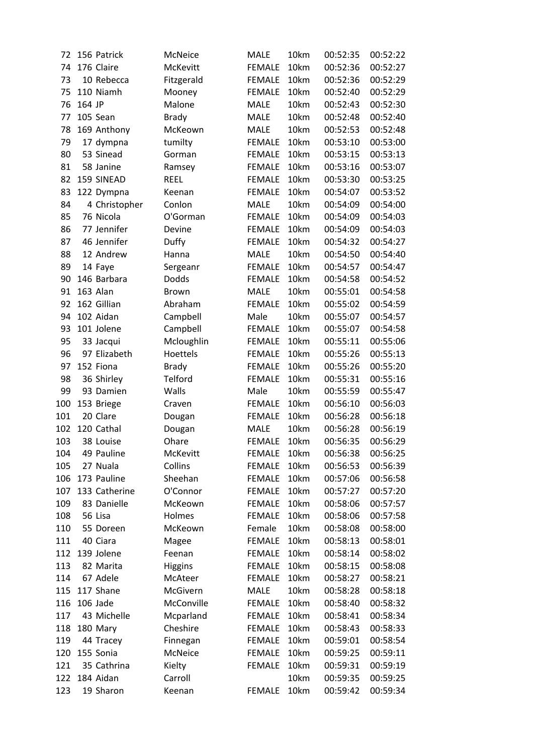| 72       |        | 156 Patrick   | McNeice                | <b>MALE</b>   | 10km         | 00:52:35             | 00:52:22 |
|----------|--------|---------------|------------------------|---------------|--------------|----------------------|----------|
| 74       |        | 176 Claire    | <b>McKevitt</b>        | <b>FEMALE</b> | 10km         | 00:52:36             | 00:52:27 |
| 73       |        | 10 Rebecca    | Fitzgerald             | <b>FEMALE</b> | 10km         | 00:52:36             | 00:52:29 |
| 75       |        | 110 Niamh     | Mooney                 | <b>FEMALE</b> | 10km         | 00:52:40             | 00:52:29 |
| 76       | 164 JP |               | Malone                 | <b>MALE</b>   | 10km         | 00:52:43             | 00:52:30 |
| 77       |        | 105 Sean      | <b>Brady</b>           | <b>MALE</b>   | 10km         | 00:52:48             | 00:52:40 |
| 78       |        | 169 Anthony   | McKeown                | <b>MALE</b>   | 10km         | 00:52:53             | 00:52:48 |
| 79       |        | 17 dympna     | tumilty                | <b>FEMALE</b> | 10km         | 00:53:10             | 00:53:00 |
| 80       |        | 53 Sinead     | Gorman                 | <b>FEMALE</b> | 10km         | 00:53:15             | 00:53:13 |
| 81       |        | 58 Janine     | Ramsey                 | <b>FEMALE</b> | 10km         | 00:53:16             | 00:53:07 |
| 82       |        | 159 SINEAD    | <b>REEL</b>            | <b>FEMALE</b> | 10km         | 00:53:30             | 00:53:25 |
| 83       |        | 122 Dympna    | Keenan                 | <b>FEMALE</b> | 10km         | 00:54:07             | 00:53:52 |
| 84       |        | 4 Christopher | Conlon                 | <b>MALE</b>   | 10km         | 00:54:09             | 00:54:00 |
| 85       |        | 76 Nicola     | O'Gorman               | <b>FEMALE</b> | 10km         | 00:54:09             | 00:54:03 |
| 86       |        | 77 Jennifer   | Devine                 | <b>FEMALE</b> | 10km         | 00:54:09             | 00:54:03 |
| 87       |        | 46 Jennifer   | Duffy                  | <b>FEMALE</b> | 10km         | 00:54:32             | 00:54:27 |
| 88       |        | 12 Andrew     | Hanna                  | <b>MALE</b>   | 10km         | 00:54:50             | 00:54:40 |
| 89       |        | 14 Faye       | Sergeanr               | <b>FEMALE</b> | 10km         | 00:54:57             | 00:54:47 |
| 90       |        | 146 Barbara   | Dodds                  | <b>FEMALE</b> | 10km         | 00:54:58             | 00:54:52 |
| 91       |        | 163 Alan      | <b>Brown</b>           | <b>MALE</b>   | 10km         | 00:55:01             | 00:54:58 |
| 92       |        | 162 Gillian   | Abraham                | <b>FEMALE</b> | 10km         | 00:55:02             | 00:54:59 |
| 94       |        | 102 Aidan     |                        | Male          | 10km         | 00:55:07             | 00:54:57 |
| 93       |        | 101 Jolene    | Campbell               |               |              |                      |          |
|          |        |               | Campbell               | <b>FEMALE</b> | 10km<br>10km | 00:55:07<br>00:55:11 | 00:54:58 |
| 95<br>96 |        | 33 Jacqui     | Mcloughlin<br>Hoettels | <b>FEMALE</b> | 10km         |                      | 00:55:06 |
|          |        | 97 Elizabeth  |                        | <b>FEMALE</b> | 10km         | 00:55:26             | 00:55:13 |
| 97       |        | 152 Fiona     | <b>Brady</b>           | <b>FEMALE</b> |              | 00:55:26             | 00:55:20 |
| 98       |        | 36 Shirley    | Telford                | <b>FEMALE</b> | 10km         | 00:55:31             | 00:55:16 |
| 99       |        | 93 Damien     | Walls                  | Male          | 10km         | 00:55:59             | 00:55:47 |
| 100      |        | 153 Briege    | Craven                 | <b>FEMALE</b> | 10km         | 00:56:10             | 00:56:03 |
| 101      |        | 20 Clare      | Dougan                 | <b>FEMALE</b> | 10km         | 00:56:28             | 00:56:18 |
| 102      |        | 120 Cathal    | Dougan                 | <b>MALE</b>   | 10km         | 00:56:28             | 00:56:19 |
| 103      |        | 38 Louise     | Ohare                  | <b>FEMALE</b> | 10km         | 00:56:35             | 00:56:29 |
| 104      |        | 49 Pauline    | McKevitt               | <b>FEMALE</b> | 10km         | 00:56:38             | 00:56:25 |
| 105      |        | 27 Nuala      | Collins                | <b>FEMALE</b> | 10km         | 00:56:53             | 00:56:39 |
| 106      |        | 173 Pauline   | Sheehan                | <b>FEMALE</b> | 10km         | 00:57:06             | 00:56:58 |
| 107      |        | 133 Catherine | O'Connor               | <b>FEMALE</b> | 10km         | 00:57:27             | 00:57:20 |
| 109      |        | 83 Danielle   | McKeown                | <b>FEMALE</b> | 10km         | 00:58:06             | 00:57:57 |
| 108      |        | 56 Lisa       | Holmes                 | <b>FEMALE</b> | 10km         | 00:58:06             | 00:57:58 |
| 110      |        | 55 Doreen     | McKeown                | Female        | 10km         | 00:58:08             | 00:58:00 |
| 111      |        | 40 Ciara      | Magee                  | <b>FEMALE</b> | 10km         | 00:58:13             | 00:58:01 |
| 112      |        | 139 Jolene    | Feenan                 | <b>FEMALE</b> | 10km         | 00:58:14             | 00:58:02 |
| 113      |        | 82 Marita     | <b>Higgins</b>         | <b>FEMALE</b> | 10km         | 00:58:15             | 00:58:08 |
| 114      |        | 67 Adele      | McAteer                | <b>FEMALE</b> | 10km         | 00:58:27             | 00:58:21 |
| 115      |        | 117 Shane     | McGivern               | MALE          | 10km         | 00:58:28             | 00:58:18 |
| 116      |        | 106 Jade      | McConville             | <b>FEMALE</b> | 10km         | 00:58:40             | 00:58:32 |
| 117      |        | 43 Michelle   | Mcparland              | <b>FEMALE</b> | 10km         | 00:58:41             | 00:58:34 |
| 118      |        | 180 Mary      | Cheshire               | <b>FEMALE</b> | 10km         | 00:58:43             | 00:58:33 |
| 119      |        | 44 Tracey     | Finnegan               | <b>FEMALE</b> | 10km         | 00:59:01             | 00:58:54 |
| 120      |        | 155 Sonia     | McNeice                | <b>FEMALE</b> | 10km         | 00:59:25             | 00:59:11 |
| 121      |        | 35 Cathrina   | Kielty                 | <b>FEMALE</b> | 10km         | 00:59:31             | 00:59:19 |
| 122      |        | 184 Aidan     | Carroll                |               | 10km         | 00:59:35             | 00:59:25 |
| 123      |        | 19 Sharon     | Keenan                 | <b>FEMALE</b> | 10km         | 00:59:42             | 00:59:34 |